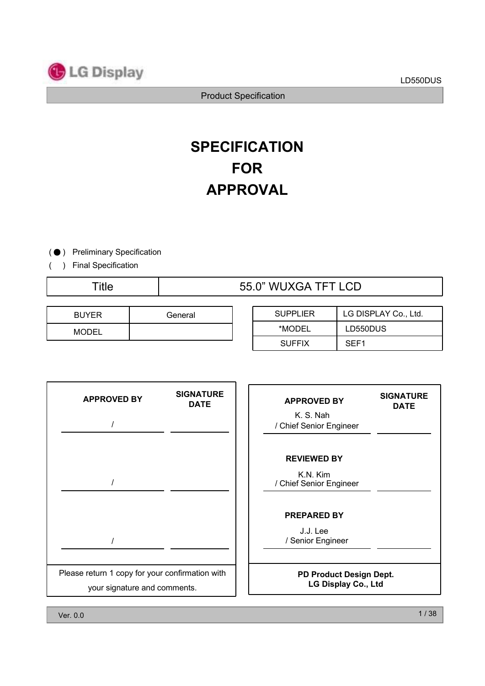

# **FOR APPROVAL SPECIFICATION**

(  $\bullet$  ) Preliminary Specification

( ) Final Specification

# Title 55.0" WUXGA TFT LCD

| <b>BUYER</b> | General |
|--------------|---------|
| <b>MODEL</b> |         |

| <b>SUPPLIER</b> | LG DISPLAY Co., Ltd. |
|-----------------|----------------------|
| *MODEL          | LD550DUS             |
| <b>SUFFIX</b>   | SEF <sub>1</sub>     |

| <b>APPROVED BY</b>                                                              | <b>SIGNATURE</b><br><b>DATE</b> | <b>APPROVED BY</b><br>K. S. Nah<br>/ Chief Senior Engineer | <b>SIGNATURE</b><br><b>DATE</b> |
|---------------------------------------------------------------------------------|---------------------------------|------------------------------------------------------------|---------------------------------|
|                                                                                 |                                 | <b>REVIEWED BY</b><br>K.N. Kim<br>/ Chief Senior Engineer  |                                 |
|                                                                                 |                                 | <b>PREPARED BY</b><br>J.J. Lee<br>/ Senior Engineer        |                                 |
| Please return 1 copy for your confirmation with<br>your signature and comments. |                                 | PD Product Design Dept.<br>LG Display Co., Ltd             |                                 |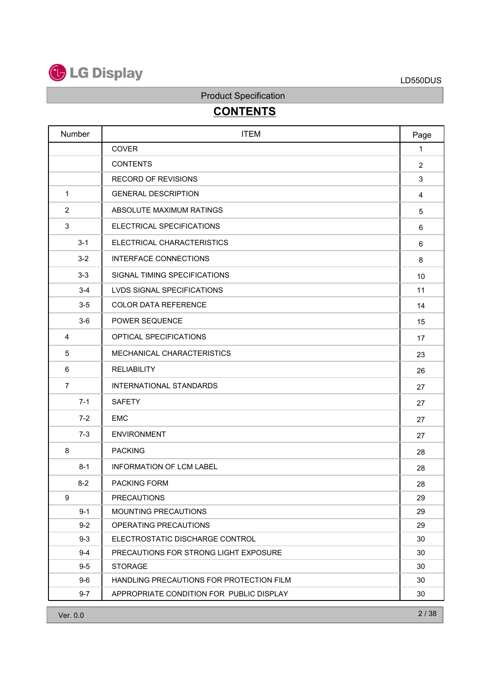

# **CONTENTS**

| Number         | <b>ITEM</b>                              | Page           |
|----------------|------------------------------------------|----------------|
|                | <b>COVER</b>                             | $\mathbf{1}$   |
|                | <b>CONTENTS</b>                          | $\overline{2}$ |
|                | <b>RECORD OF REVISIONS</b>               | 3              |
| $\mathbf 1$    | <b>GENERAL DESCRIPTION</b>               | $\overline{4}$ |
| 2              | ABSOLUTE MAXIMUM RATINGS                 | 5              |
| 3              | ELECTRICAL SPECIFICATIONS                | 6              |
| $3 - 1$        | ELECTRICAL CHARACTERISTICS               | 6              |
| $3 - 2$        | <b>INTERFACE CONNECTIONS</b>             | 8              |
| $3-3$          | SIGNAL TIMING SPECIFICATIONS             | 10             |
| $3 - 4$        | <b>LVDS SIGNAL SPECIFICATIONS</b>        | 11             |
| $3-5$          | <b>COLOR DATA REFERENCE</b>              | 14             |
| $3-6$          | POWER SEQUENCE                           | 15             |
| 4              | OPTICAL SPECIFICATIONS                   | 17             |
| 5              | MECHANICAL CHARACTERISTICS               | 23             |
| 6              | <b>RELIABILITY</b>                       | 26             |
| $\overline{7}$ | <b>INTERNATIONAL STANDARDS</b>           | 27             |
| $7 - 1$        | <b>SAFETY</b>                            | 27             |
| $7 - 2$        | <b>EMC</b>                               | 27             |
| $7-3$          | <b>ENVIRONMENT</b>                       | 27             |
| 8              | <b>PACKING</b>                           | 28             |
| $8 - 1$        | <b>INFORMATION OF LCM LABEL</b>          | 28             |
| $8 - 2$        | PACKING FORM                             | 28             |
| 9              | <b>PRECAUTIONS</b>                       | 29             |
| $9 - 1$        | MOUNTING PRECAUTIONS                     | 29             |
| $9 - 2$        | OPERATING PRECAUTIONS                    | 29             |
| $9 - 3$        | ELECTROSTATIC DISCHARGE CONTROL          | 30             |
| $9 - 4$        | PRECAUTIONS FOR STRONG LIGHT EXPOSURE    | 30             |
| $9-5$          | <b>STORAGE</b>                           | 30             |
| $9-6$          | HANDLING PRECAUTIONS FOR PROTECTION FILM | 30             |
| $9 - 7$        | APPROPRIATE CONDITION FOR PUBLIC DISPLAY | 30             |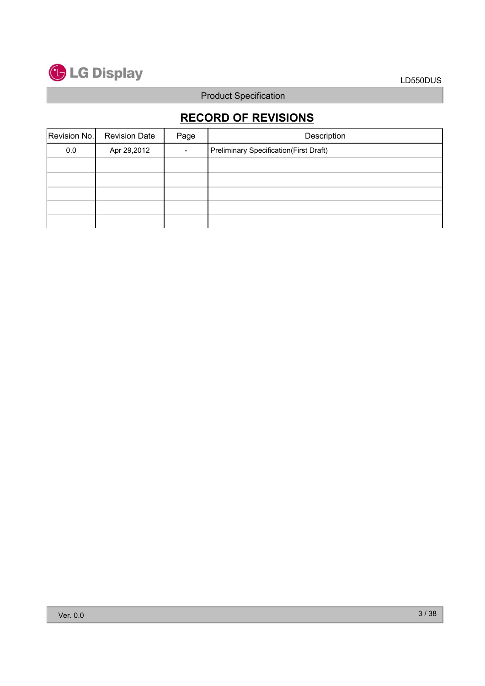

# **RECORD OF REVISIONS**

| Revision No. | <b>Revision Date</b> | Page | Description                                    |
|--------------|----------------------|------|------------------------------------------------|
| 0.0          | Apr 29,2012          |      | <b>Preliminary Specification (First Draft)</b> |
|              |                      |      |                                                |
|              |                      |      |                                                |
|              |                      |      |                                                |
|              |                      |      |                                                |
|              |                      |      |                                                |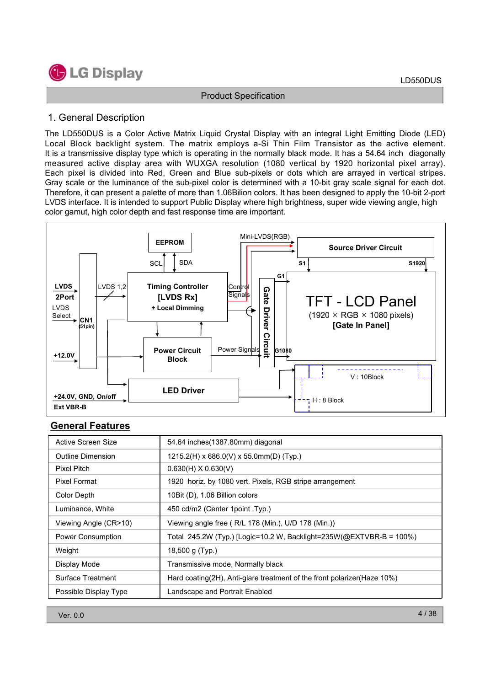

#### 1. General Description

The LD550DUS is a Color Active Matrix Liquid Crystal Display with an integral Light Emitting Diode (LED) Local Block backlight system. The matrix employs a-Si Thin Film Transistor as the active element. It is a transmissive display type which is operating in the normally black mode. It has a 54.64 inch diagonally measured active display area with WUXGA resolution (1080 vertical by 1920 horizontal pixel array). Each pixel is divided into Red, Green and Blue sub-pixels or dots which are arrayed in vertical stripes. Gray scale or the luminance of the sub-pixel color is determined with a 10-bit gray scale signal for each dot. Therefore, it can present a palette of more than 1.06Bilion colors. It has been designed to apply the 10-bit 2-port LVDS interface. It is intended to support Public Display where high brightness, super wide viewing angle, high color gamut, high color depth and fast response time are important.



### **General Features**

| Active Screen Size    | 54.64 inches (1387.80mm) diagonal                                       |
|-----------------------|-------------------------------------------------------------------------|
| Outline Dimension     | $1215.2(H)$ x 686.0(V) x 55.0mm(D) (Typ.)                               |
| Pixel Pitch           | $0.630(H)$ X $0.630(V)$                                                 |
| Pixel Format          | 1920 horiz. by 1080 vert. Pixels, RGB stripe arrangement                |
| Color Depth           | 10Bit (D), 1.06 Billion colors                                          |
| Luminance, White      | 450 cd/m2 (Center 1point, Typ.)                                         |
| Viewing Angle (CR>10) | Viewing angle free (R/L 178 (Min.), U/D 178 (Min.))                     |
| Power Consumption     | Total 245.2W (Typ.) [Logic=10.2 W, Backlight=235W(@EXTVBR-B = 100%)     |
| Weight                | 18,500 g $(Typ.)$                                                       |
| Display Mode          | Transmissive mode, Normally black                                       |
| Surface Treatment     | Hard coating(2H), Anti-glare treatment of the front polarizer(Haze 10%) |
| Possible Display Type | Landscape and Portrait Enabled                                          |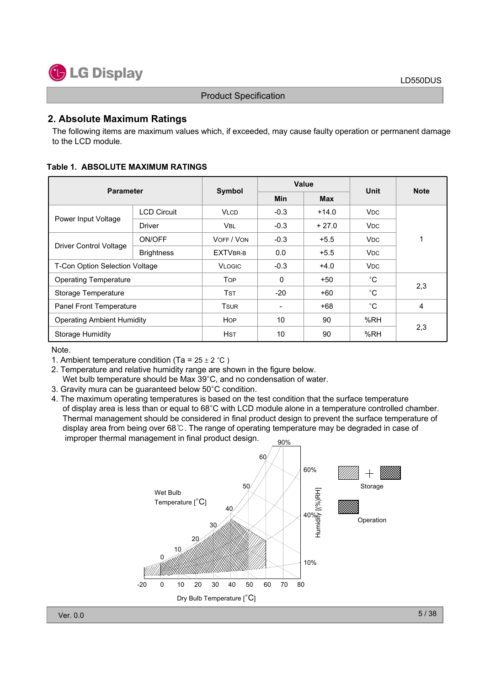

#### **2. Absolute Maximum Ratings**

The following items are maximum values which, if exceeded, may cause faulty operation or permanent damage to the LCD module.

| <b>Parameter</b>                  |                    | Symbol          |              | Value      | Unit                  | <b>Note</b> |  |
|-----------------------------------|--------------------|-----------------|--------------|------------|-----------------------|-------------|--|
|                                   |                    |                 | <b>Min</b>   | <b>Max</b> |                       |             |  |
|                                   | <b>LCD Circuit</b> | <b>VLCD</b>     | $-0.3$       | $+14.0$    | <b>V<sub>DC</sub></b> |             |  |
| Power Input Voltage               | <b>Driver</b>      | <b>VBL</b>      | $-0.3$       | $+27.0$    | <b>V<sub>DC</sub></b> |             |  |
| <b>Driver Control Voltage</b>     | ON/OFF             | VOFF / VON      | $-0.3$       | $+5.5$     | <b>V<sub>DC</sub></b> | 1           |  |
|                                   | <b>Brightness</b>  | <b>EXTVBR-B</b> | 0.0          | $+5.5$     | <b>V<sub>DC</sub></b> |             |  |
| T-Con Option Selection Voltage    |                    | <b>VLOGIC</b>   | $-0.3$       | $+4.0$     | <b>V<sub>DC</sub></b> |             |  |
| <b>Operating Temperature</b>      |                    | <b>TOP</b>      | $\mathbf{0}$ | $+50$      | $^{\circ}C$           |             |  |
| Storage Temperature               |                    | <b>TST</b>      | $-20$        | $+60$      | $^{\circ}$ C          | 2,3         |  |
| Panel Front Temperature           |                    | Tsur            |              | $+68$      | $^{\circ}C$           | 4           |  |
| <b>Operating Ambient Humidity</b> |                    | <b>HOP</b>      | 10           | 90         | %RH                   |             |  |
| <b>Storage Humidity</b>           |                    | <b>HST</b>      | 10           | 90         | %RH                   | 2,3         |  |

#### Note.

1. Ambient temperature condition (Ta =  $25 \pm 2$  °C)

- 2. Temperature and relative humidity range are shown in the figure below. Wet bulb temperature should be Max 39°C, and no condensation of water.
- 3. Gravity mura can be guaranteed below 50°C condition.
- 4. The maximum operating temperatures is based on the test condition that the surface temperature of display area is less than or equal to  $68^{\circ}$ C with LCD module alone in a temperature controlled chamber. Thermal management should be considered in final product design to prevent the surface temperature of display area from being over 68  $\degree$ . The range of operating temperature may be degraded in case of improper thermal management in final product design.  $90\%$

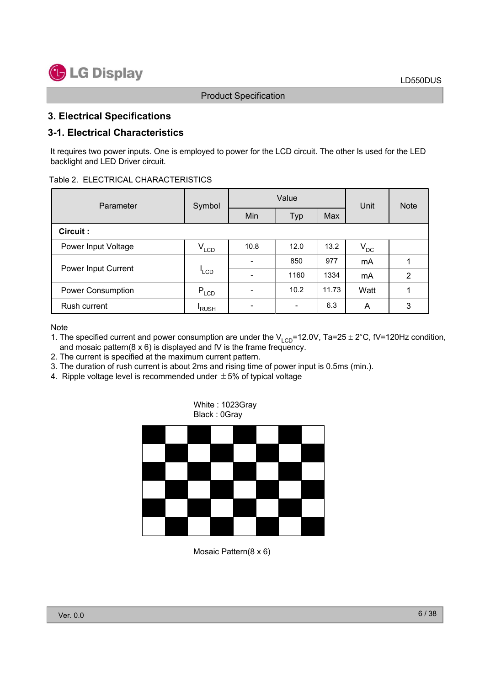### **3. Electrical Specifications**

### **3-1. Electrical Characteristics**

It requires two power inputs. One is employed to power for the LCD circuit. The other Is used for the LED backlight and LED Driver circuit.

#### Table 2. ELECTRICAL CHARACTERISTICS

| Parameter           | Symbol      |      | Value                    | Unit  | <b>Note</b> |               |  |
|---------------------|-------------|------|--------------------------|-------|-------------|---------------|--|
|                     |             | Min  | Typ                      | Max   |             |               |  |
| Circuit :           |             |      |                          |       |             |               |  |
| Power Input Voltage | $V_{LCD}$   | 10.8 | 12.0                     | 13.2  | $V_{DC}$    |               |  |
|                     | $I_{LCD}$   |      | 850                      | 977   | mA          |               |  |
| Power Input Current |             |      | 1160                     | 1334  | mA          | $\mathcal{P}$ |  |
| Power Consumption   | $P_{LCD}$   |      | 10.2                     | 11.73 | Watt        |               |  |
| Rush current        | <b>RUSH</b> |      | $\overline{\phantom{0}}$ | 6.3   | A           | 3             |  |

**Note** 

- 1. The specified current and power consumption are under the  $V_{LCD} = 12.0V$ , Ta=25 ± 2°C, fV=120Hz condition, and mosaic pattern( $8 \times 6$ ) is displayed and fV is the frame frequency.
- 2. The current is specified at the maximum current pattern.
- 3. The duration of rush current is about 2ms and rising time of power input is 0.5ms (min.).

White : 1023Gray

4. Ripple voltage level is recommended under  $\pm$  5% of typical voltage



Mosaic Pattern(8 x 6)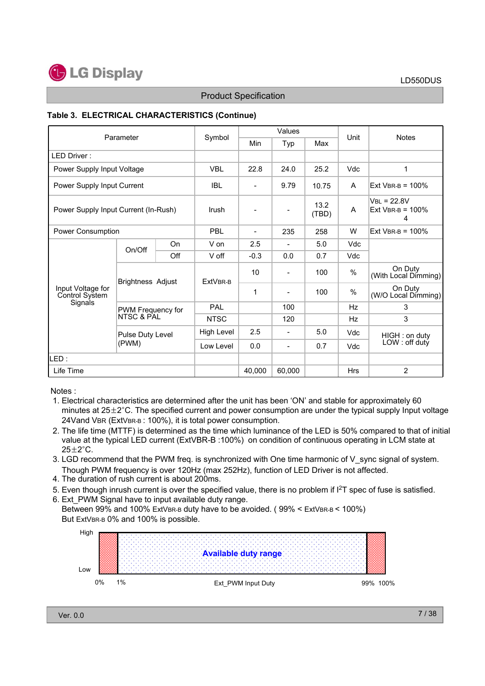

#### **Table 3. ELECTRICAL CHARACTERISTICS (Continue)**

| Parameter                            |                                 | Symbol           |                 | Values         |                          |               | <b>Notes</b> |                                           |  |
|--------------------------------------|---------------------------------|------------------|-----------------|----------------|--------------------------|---------------|--------------|-------------------------------------------|--|
|                                      |                                 |                  |                 | Min            | Typ                      | Max           | Unit         |                                           |  |
| LED Driver:                          |                                 |                  |                 |                |                          |               |              |                                           |  |
| Power Supply Input Voltage           |                                 |                  | <b>VBL</b>      | 22.8           | 24.0                     | 25.2          | Vdc          | 1                                         |  |
| Power Supply Input Current           |                                 |                  | <b>IBL</b>      |                | 9.79                     | 10.75         | A            | $Fxt$ VBR-B = 100%                        |  |
| Power Supply Input Current (In-Rush) |                                 |                  | Irush           |                | -                        | 13.2<br>(TBD) | A            | $VBL = 22.8V$<br>Ext VBR-B = $100\%$<br>4 |  |
| Power Consumption                    |                                 |                  | <b>PBI</b>      | $\blacksquare$ | 235                      | 258           | W            | Ext VBR-B = $100\%$                       |  |
|                                      | On/Off                          | On               | V on            | 2.5            | $\blacksquare$           | 5.0           | Vdc          |                                           |  |
|                                      |                                 | Off              | V off           | $-0.3$         | 0.0                      | 0.7           | Vdc          |                                           |  |
|                                      | <b>Brightness Adjust</b>        |                  | <b>FxtVBR-B</b> | 10             | $\overline{\phantom{0}}$ | 100           | %            | On Duty<br>(With Local Dimming)           |  |
| Input Voltage for<br>Control System  |                                 |                  |                 | 1              | -                        | 100           | %            | On Duty<br>(W/O Local Dimming)            |  |
| Signals                              | PWM Frequency for<br>NTSC & PAL |                  | PAL             |                | 100                      |               | Hz           | 3                                         |  |
|                                      |                                 |                  | <b>NTSC</b>     |                | 120                      |               | Hz           | 3                                         |  |
|                                      |                                 | Pulse Duty Level |                 | 2.5            | $\overline{\phantom{a}}$ | 5.0           | Vdc          | HIGH : on duty                            |  |
|                                      | (PWM)                           |                  | Low Level       | 0.0            | -                        | 0.7           | Vdc          | LOW: off duty                             |  |
| ILED :                               |                                 |                  |                 |                |                          |               |              |                                           |  |
| Life Time                            |                                 |                  |                 | 40.000         | 60.000                   |               | Hrs          | $\overline{2}$                            |  |

Notes :

- 1. Electrical characteristics are determined after the unit has been 'ON' and stable for approximately 60 minutes at  $25\pm2^{\circ}$ C. The specified current and power consumption are under the typical supply Input voltage 24Vand VBR (ExtVBR-B: 100%), it is total power consumption.
- 2. The life time (MTTF) is determined as the time which luminance of the LED is 50% compared to that of initial value at the typical LED current (ExtVBR-B :100%) on condition of continuous operating in LCM state at  $25+2°C$ .
- 3. LGD recommend that the PWM freq. is synchronized with One time harmonic of V sync signal of system. Though PWM frequency is over 120Hz (max 252Hz), function of LED Driver is not affected.
- 4. The duration of rush current is about 200ms.
- 5. Even though inrush current is over the specified value, there is no problem if I2T spec of fuse is satisfied.
- 6. Ext\_PWM Signal have to input available duty range. Between 99% and 100% ExtVBR-B duty have to be avoided. (99% < ExtVBR-B < 100%) But ExtVBR-B 0% and 100% is possible.

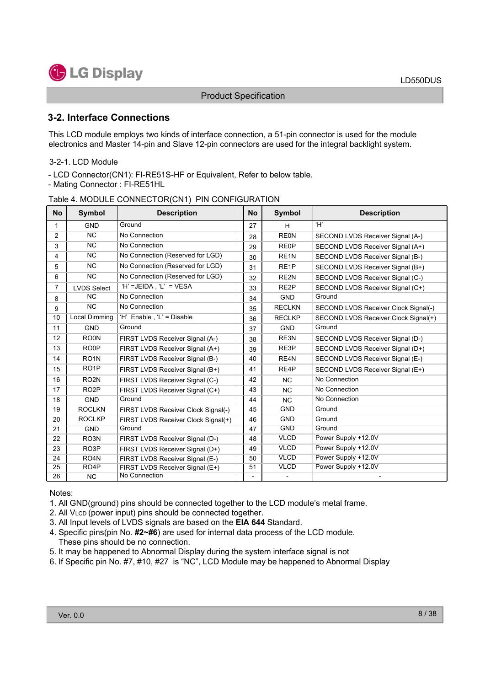

### **3-2. Interface Connections**

This LCD module employs two kinds of interface connection, a 51-pin connector is used for the module electronics and Master 14-pin and Slave 12-pin connectors are used for the integral backlight system.

#### 3-2-1. LCD Module

- LCD Connector(CN1): FI-RE51S-HF or Equivalent, Refer to below table.

- Mating Connector : FI-RE51HL

#### Table 4. MODULE CONNECTOR(CN1) PIN CONFIGURATION

| <b>No</b> | <b>Symbol</b>      | <b>Description</b>                  | <b>No</b> | <b>Symbol</b>     | <b>Description</b>                   |
|-----------|--------------------|-------------------------------------|-----------|-------------------|--------------------------------------|
| 1         | <b>GND</b>         | Ground                              | 27        | H                 | Ή,                                   |
| 2         | <b>NC</b>          | No Connection                       | 28        | <b>REON</b>       | SECOND LVDS Receiver Signal (A-)     |
| 3         | <b>NC</b>          | No Connection                       | 29        | RE <sub>0</sub> P | SECOND LVDS Receiver Signal (A+)     |
| 4         | <b>NC</b>          | No Connection (Reserved for LGD)    | 30        | RE <sub>1N</sub>  | SECOND LVDS Receiver Signal (B-)     |
| 5         | <b>NC</b>          | No Connection (Reserved for LGD)    | 31        | RE <sub>1</sub> P | SECOND LVDS Receiver Signal (B+)     |
| 6         | <b>NC</b>          | No Connection (Reserved for LGD)    | 32        | RE <sub>2N</sub>  | SECOND LVDS Receiver Signal (C-)     |
| 7         | <b>LVDS Select</b> | 'H' =JEIDA, 'L' = $VESA$            | 33        | RE <sub>2</sub> P | SECOND LVDS Receiver Signal (C+)     |
| 8         | <b>NC</b>          | No Connection                       | 34        | <b>GND</b>        | Ground                               |
| 9         | <b>NC</b>          | No Connection                       | 35        | <b>RECLKN</b>     | SECOND LVDS Receiver Clock Signal(-) |
| 10        | Local Dimming      | 'H' Enable, 'L' = Disable           | 36        | <b>RECLKP</b>     | SECOND LVDS Receiver Clock Signal(+) |
| 11        | <b>GND</b>         | Ground                              | 37        | <b>GND</b>        | Ground                               |
| 12        | RO <sub>0</sub> N  | FIRST LVDS Receiver Signal (A-)     | 38        | RE3N              | SECOND LVDS Receiver Signal (D-)     |
| 13        | RO <sub>OP</sub>   | FIRST LVDS Receiver Signal (A+)     | 39        | RE3P              | SECOND LVDS Receiver Signal (D+)     |
| 14        | RO <sub>1</sub> N  | FIRST LVDS Receiver Signal (B-)     | 40        | RE4N              | SECOND LVDS Receiver Signal (E-)     |
| 15        | RO <sub>1</sub> P  | FIRST LVDS Receiver Signal (B+)     | 41        | RE4P              | SECOND LVDS Receiver Signal (E+)     |
| 16        | RO <sub>2N</sub>   | FIRST LVDS Receiver Signal (C-)     | 42        | <b>NC</b>         | No Connection                        |
| 17        | RO <sub>2</sub> P  | FIRST LVDS Receiver Signal (C+)     | 43        | <b>NC</b>         | No Connection                        |
| 18        | <b>GND</b>         | Ground                              | 44        | <b>NC</b>         | No Connection                        |
| 19        | <b>ROCLKN</b>      | FIRST LVDS Receiver Clock Signal(-) | 45        | <b>GND</b>        | Ground                               |
| 20        | <b>ROCLKP</b>      | FIRST LVDS Receiver Clock Signal(+) | 46        | <b>GND</b>        | Ground                               |
| 21        | <b>GND</b>         | Ground                              | 47        | <b>GND</b>        | Ground                               |
| 22        | RO <sub>3</sub> N  | FIRST LVDS Receiver Signal (D-)     | 48        | <b>VLCD</b>       | Power Supply +12.0V                  |
| 23        | RO <sub>3</sub> P  | FIRST LVDS Receiver Signal (D+)     | 49        | <b>VLCD</b>       | Power Supply +12.0V                  |
| 24        | RO <sub>4</sub> N  | FIRST LVDS Receiver Signal (E-)     | 50        | <b>VLCD</b>       | Power Supply +12.0V                  |
| 25        | RO <sub>4</sub> P  | FIRST LVDS Receiver Signal (E+)     | 51        | <b>VLCD</b>       | Power Supply +12.0V                  |
| 26        | <b>NC</b>          | No Connection                       |           |                   |                                      |

Notes:

1. All GND(ground) pins should be connected together to the LCD module's metal frame.

- 2. All VLCD (power input) pins should be connected together.
- 3. All Input levels of LVDS signals are based on the **EIA 644** Standard.
- 4. Specific pins(pin No. **#2~#6**) are used for internal data process of the LCD module. These pins should be no connection.
- 5. It may be happened to Abnormal Display during the system interface signal is not
- 6. If Specific pin No. #7, #10, #27 is "NC", LCD Module may be happened to Abnormal Display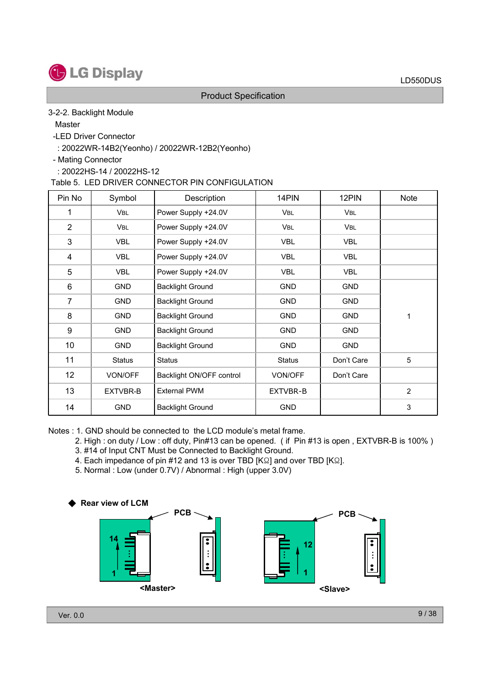

#### 3-2-2. Backlight Module

**Master** 

- -LED Driver Connector
	- : 20022WR-14B2(Yeonho) / 20022WR-12B2(Yeonho)
- Mating Connector
	- : 20022HS-14 / 20022HS-12

Table 5. LED DRIVER CONNECTOR PIN CONFIGULATION

| Pin No         | Symbol        | Description              | 14PIN         | 12PIN      | <b>Note</b>    |
|----------------|---------------|--------------------------|---------------|------------|----------------|
| 1              | VBL           | Power Supply +24.0V      | <b>VBL</b>    | <b>VBL</b> |                |
| $\overline{2}$ | <b>VBL</b>    | Power Supply +24.0V      | <b>VBL</b>    | <b>VBL</b> |                |
| 3              | <b>VBL</b>    | Power Supply +24.0V      | <b>VBL</b>    | <b>VBL</b> |                |
| 4              | <b>VBL</b>    | Power Supply +24.0V      | <b>VBL</b>    | <b>VBL</b> |                |
| 5              | <b>VBL</b>    | Power Supply +24.0V      | <b>VBL</b>    | <b>VBL</b> |                |
| 6              | <b>GND</b>    | <b>Backlight Ground</b>  | <b>GND</b>    | <b>GND</b> |                |
| 7              | <b>GND</b>    | <b>Backlight Ground</b>  | <b>GND</b>    | <b>GND</b> |                |
| 8              | <b>GND</b>    | <b>Backlight Ground</b>  | <b>GND</b>    | <b>GND</b> | 1              |
| 9              | <b>GND</b>    | <b>Backlight Ground</b>  | <b>GND</b>    | <b>GND</b> |                |
| 10             | <b>GND</b>    | <b>Backlight Ground</b>  | <b>GND</b>    | GND        |                |
| 11             | <b>Status</b> | <b>Status</b>            | <b>Status</b> | Don't Care | 5              |
| 12             | VON/OFF       | Backlight ON/OFF control | VON/OFF       | Don't Care |                |
| 13             | EXTVBR-B      | <b>External PWM</b>      | EXTVBR-B      |            | $\overline{2}$ |
| 14             | <b>GND</b>    | <b>Backlight Ground</b>  | <b>GND</b>    |            | 3              |

Notes : 1. GND should be connected to the LCD module's metal frame.

- 2. High : on duty / Low : off duty, Pin#13 can be opened. ( if Pin #13 is open , EXTVBR-B is 100% )
- 3. #14 of Input CNT Must be Connected to Backlight Ground.
- 4. Each impedance of pin #12 and 13 is over TBD [KΩ] and over TBD [KΩ].
- 5. Normal : Low (under 0.7V) / Abnormal : High (upper 3.0V)

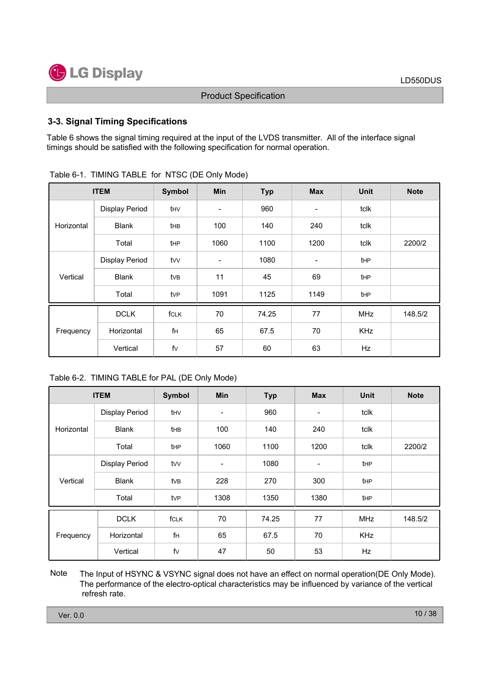

#### **3-3. Signal Timing Specifications**

Table 6 shows the signal timing required at the input of the LVDS transmitter. All of the interface signal timings should be satisfied with the following specification for normal operation.

|            | <b>ITEM</b>           | <b>Symbol</b> | Min                      | <b>Typ</b> | <b>Max</b>               | <b>Unit</b> | <b>Note</b> |
|------------|-----------------------|---------------|--------------------------|------------|--------------------------|-------------|-------------|
|            | <b>Display Period</b> | thv           | $\overline{\phantom{a}}$ | 960        | $\overline{\phantom{a}}$ | tclk        |             |
| Horizontal | <b>Blank</b>          | thB           | 100                      | 140        | 240                      | tclk        |             |
|            | Total                 | tHP           | 1060                     | 1100       | 1200                     | tclk        | 2200/2      |
|            | Display Period        | tvv           | $\overline{\phantom{a}}$ | 1080       | $\overline{\phantom{a}}$ | tHP         |             |
| Vertical   | <b>Blank</b>          | tvB           | 11                       | 45         | 69                       | tHP         |             |
|            | Total                 | tvP           | 1091                     | 1125       | 1149                     | tHP         |             |
|            | <b>DCLK</b>           | fCLK          | 70                       | 74.25      | 77                       | <b>MHz</b>  | 148.5/2     |
| Frequency  | Horizontal            | fH            | 65                       | 67.5       | 70                       | KHz         |             |
|            | Vertical              | fv            | 57                       | 60         | 63                       | Hz          |             |

|  | Table 6-1. TIMING TABLE for NTSC (DE Only Mode) |  |  |  |  |  |
|--|-------------------------------------------------|--|--|--|--|--|
|--|-------------------------------------------------|--|--|--|--|--|

#### Table 6-2. TIMING TABLE for PAL (DE Only Mode)

|            | <b>ITEM</b>           | Symbol | <b>Min</b> | <b>Typ</b> | <b>Max</b>               | <b>Unit</b>     | <b>Note</b> |
|------------|-----------------------|--------|------------|------------|--------------------------|-----------------|-------------|
|            | Display Period        | thv    | -          | 960        | $\overline{\phantom{a}}$ | tclk            |             |
| Horizontal | <b>Blank</b>          | the    | 100        | 140        | 240                      | tclk            |             |
|            | Total                 | tHP    | 1060       | 1100       | 1200                     | tclk            | 2200/2      |
|            | <b>Display Period</b> | tvv    | -          | 1080       | $\overline{\phantom{a}}$ | tHP             |             |
| Vertical   | <b>Blank</b>          | tvB    | 228        | 270        | 300                      | tHP             |             |
|            | Total                 | tvP    | 1308       | 1350       | 1380                     | t <sub>HP</sub> |             |
|            | <b>DCLK</b>           | fCLK   | 70         | 74.25      | 77                       | <b>MHz</b>      | 148.5/2     |
| Frequency  | Horizontal            | fH     | 65         | 67.5       | 70                       | KHz             |             |
|            | Vertical              | fv     | 47         | 50         | 53                       | Hz              |             |

The Input of HSYNC & VSYNC signal does not have an effect on normal operation(DE Only Mode). The performance of the electro-optical characteristics may be influenced by variance of the vertical refresh rate. **Note**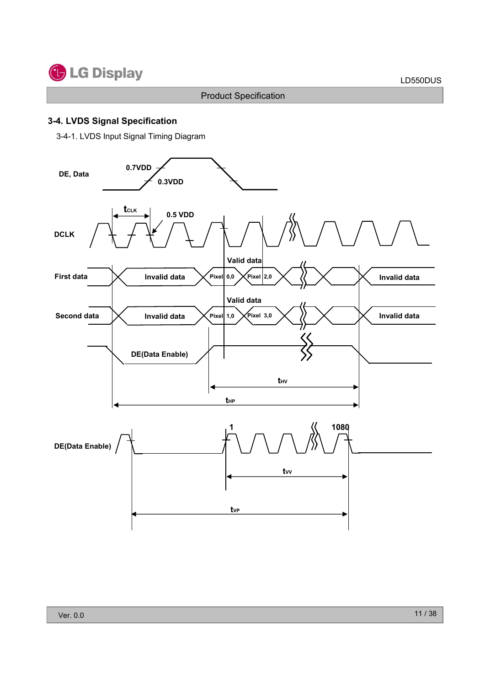

### **3-4. LVDS Signal Specification**

3-4-1. LVDS Input Signal Timing Diagram

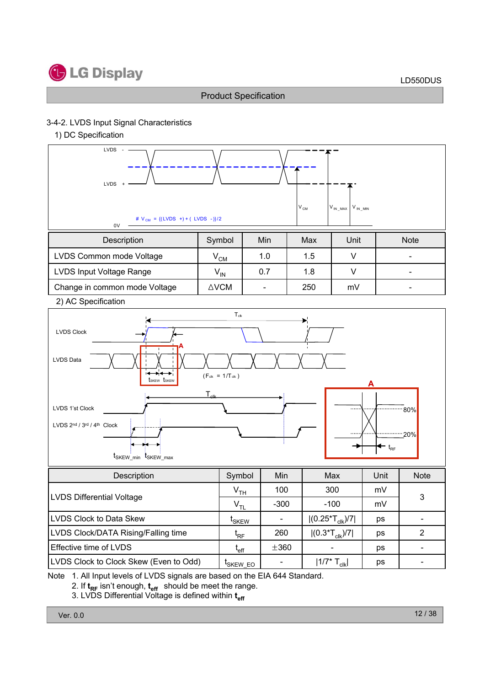

#### 3-4-2. LVDS Input Signal Characteristics

1) DC Specification



- 2. If  $t_{RF}$  isn't enough,  $t_{eff}$  should be meet the range.
- 3. LVDS Differential Voltage is defined within t<sub>eff</sub>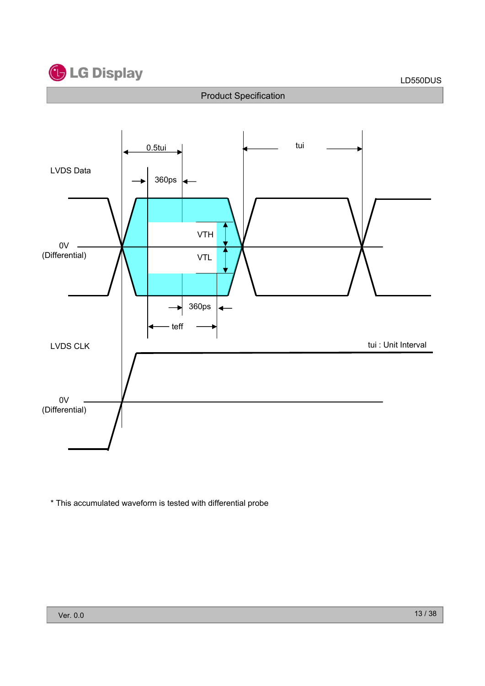



\* This accumulated waveform is tested with differential probe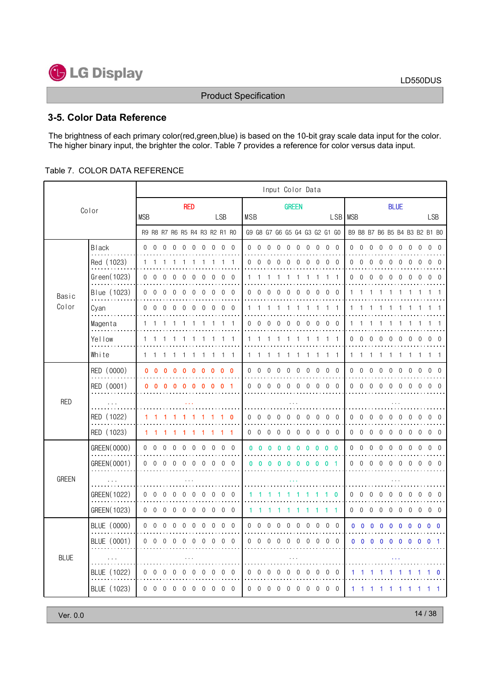

### 3-5. Color Data Reference

The brightness of each primary color(red, green, blue) is based on the 10-bit gray scale data input for the color. The higher binary input, the brighter the color. Table 7 provides a reference for color versus data input.

#### Table 7. COLOR DATA REFERENCE

|             |                          |                |                               |            |                |                |                  |                  |          |            |                   |            |                |                          |              |                |              |                | Input Color Data |              |                                        |          |              |                               |                |             |                   |                |                  |                |                |                |
|-------------|--------------------------|----------------|-------------------------------|------------|----------------|----------------|------------------|------------------|----------|------------|-------------------|------------|----------------|--------------------------|--------------|----------------|--------------|----------------|------------------|--------------|----------------------------------------|----------|--------------|-------------------------------|----------------|-------------|-------------------|----------------|------------------|----------------|----------------|----------------|
| Color       |                          |                |                               | <b>RED</b> |                |                |                  |                  |          |            |                   |            |                |                          | <b>GREEN</b> |                |              |                |                  |              |                                        |          |              |                               |                | <b>BLUE</b> |                   |                |                  |                |                |                |
|             |                          | <b>MSB</b>     |                               |            |                |                |                  |                  |          | <b>LSB</b> |                   | <b>MSB</b> |                |                          |              |                |              |                |                  |              |                                        |          | LSB MSB      |                               |                |             |                   |                |                  |                | <b>LSB</b>     |                |
|             |                          |                | R9 R8 R7 R6 R5 R4 R3 R2 R1 R0 |            |                |                |                  |                  |          |            |                   |            |                |                          |              |                |              |                |                  |              | G9 G8 G7 G6 G5 G4 G3 G2 G1 G0          |          |              | B9 B8 B7 B6 B5 B4 B3 B2 B1 B0 |                |             |                   |                |                  |                |                |                |
|             | <b>Black</b><br>$\cdots$ |                | $0\quad 0\quad 0\quad 0$      |            |                | $\Omega$       | $\Omega$         | $\Omega$         |          |            | $0\quad 0\quad 0$ |            |                | $0\quad 0\quad 0$        |              | $\overline{0}$ |              |                |                  |              | $0\quad 0\quad 0\quad 0\quad 0\quad 0$ |          |              | $0\quad 0$                    | $\overline{0}$ | $\Omega$    | 0 <sub>0</sub>    |                | $\Omega$         | $\Omega$       | 0 <sub>0</sub> |                |
|             | Red (1023)               | 1              |                               |            |                |                |                  |                  |          |            |                   | 0          | $\Omega$       |                          |              | $\Omega$       |              |                | $\Omega$         | $\Omega$     | $\Omega$                               | $\theta$ | 0            | $\theta$                      | $\cup$         | 0           |                   |                |                  |                |                |                |
| Basic       | Green(1023)              |                | $0\quad 0$                    |            |                |                |                  |                  | 0        | $\Omega$   | $\overline{0}$    |            |                |                          |              |                |              |                |                  |              |                                        | -1       | 0            | $\overline{0}$                | $\Omega$       |             |                   |                |                  |                |                | $\theta$       |
|             | Blue (1023)              | $\overline{0}$ | $\theta$                      | ∩          | n              | $\Omega$       | ∩                | ∩                | 0        | $\Omega$   | $\Omega$          | 0          | $\Omega$       |                          |              |                |              |                | $\Omega$         | ∩            | $\Omega$                               | $\Omega$ | 1.           |                               |                |             |                   |                |                  |                |                |                |
| Color       | Cyan                     | $\cap$         | $\Omega$                      |            |                |                |                  |                  |          | ∩          | $\Omega$          |            |                |                          |              |                |              |                |                  |              |                                        |          | 1            |                               |                |             |                   |                |                  |                |                |                |
|             | Magenta                  |                |                               |            |                |                |                  |                  |          |            | -1                | 0          | $\bigcap$      |                          |              |                |              |                | $\cup$           | $\cup$       | $\bf{0}$                               | $\Omega$ |              |                               |                |             |                   |                |                  |                |                |                |
|             | Yellow                   |                |                               |            |                |                |                  |                  |          |            |                   |            |                |                          |              |                |              |                |                  |              |                                        |          | 0            | $\Omega$                      |                |             |                   |                |                  |                |                |                |
|             | White                    |                | 1 1                           |            |                |                |                  |                  |          | -1         | - 1               | 1.         | -1             |                          |              |                |              |                |                  | -1           | 1 1                                    |          |              | 1 1                           | -1             |             |                   |                |                  |                |                | $\overline{1}$ |
|             | RED (0000)               |                | $0\quad 0$                    | $\Omega$   |                | $\Omega$       | $\Omega$         | $\Omega$         | n        | 0          | - 0               | 0          | $\overline{0}$ | $\Omega$                 |              | $\Omega$       | <sup>n</sup> | $\Omega$       | $\Omega$         | $\Omega$     | $0\quad 0$                             |          |              | $0 \quad 0$                   | $\overline{0}$ | $\Omega$    | $\Omega$          | $\Omega$       | $\Omega$         | $\Omega$       | <sup>0</sup>   | - 0            |
|             | RED (0001)               | 0              | 0                             |            |                |                |                  |                  |          | n          |                   |            | $0\quad 0$     | $\Omega$                 |              | 0              |              | $\Omega$       | $\Omega$         | $\Omega$     | $0\quad 0$                             |          |              | $0\quad 0$                    | $\Omega$       | ∩           | U                 | $\cap$         | $\Omega$         |                |                |                |
| <b>RED</b>  |                          |                |                               |            |                |                |                  |                  |          |            |                   |            |                |                          |              |                |              |                |                  |              |                                        |          |              |                               |                |             |                   |                |                  |                |                |                |
|             | RED (1022)               |                |                               |            |                |                |                  |                  |          |            |                   | $\Omega$   | $\Omega$       | ∩                        |              | $^{0}$         |              | $\Omega$       | $\Omega$         | $\mathbf 0$  | $0\quad 0$                             |          | $\mathbf{0}$ | $\Omega$                      | $\theta$       | $\Omega$    | $\left( \right)$  | $\Omega$       | $\left( \right)$ |                |                | $\Omega$       |
|             | RED (1023)               |                | 11                            |            |                |                |                  |                  |          |            |                   |            |                | $0\quad 0\quad 0\quad 0$ |              |                |              |                |                  |              | $0\quad 0\quad 0\quad 0\quad 0\quad 0$ |          |              | $0\quad 0\quad 0$             |                |             | $0\quad 0\quad 0$ |                | $0\quad 0$       |                | $0\quad 0$     |                |
|             | GREEN(0000)              |                | $0\quad 0$                    | $\theta$   | $\Omega$       | $\Omega$       | $\Omega$         | $\Omega$         | $\Omega$ |            | $0\quad 0$        | 0.         | - 0            |                          | $\mathbf{0}$ | $\Omega$       | n            | n              | $\mathbf 0$      | $\mathbf{0}$ | $0\quad 0$                             |          |              | $0\quad 0$                    | $\overline{0}$ | $\mathbf 0$ | $\Omega$          | $\overline{0}$ | $\Omega$         | $\Omega$       | $\Omega$       | $\overline{0}$ |
|             | GREEN(0001)              |                | $0\quad 0$                    | $\Omega$   | $\Omega$       | $\Omega$       | $\Omega$         | 0                | $\Omega$ |            | 0 <sub>0</sub>    |            | 00             |                          | $\mathbf{0}$ | n              |              | 0              | 0                | $\mathbf{0}$ | 0 <sub>1</sub>                         |          |              | $0\quad 0$                    | $\Omega$       | 0           | $\cap$            | $\cap$         | $\Omega$         |                | <sup>n</sup>   |                |
| GREEN       |                          |                |                               |            |                |                |                  |                  |          |            |                   |            |                |                          |              |                |              |                |                  |              |                                        |          |              |                               |                |             |                   |                |                  |                |                |                |
|             | GREEN(1022)              | $\Omega$       | 0                             |            |                | $\bigcap$      | $\left( \right)$ | $\left( \right)$ | $\cup$   | $\Omega$   | $\Omega$          |            |                |                          |              |                |              |                |                  |              |                                        | 0        | 0            | $\Omega$                      | $\Omega$       | $\Omega$    |                   | $\Omega$       | $\Omega$         |                |                | $\Omega$       |
|             | GREEN(1023)              |                | $0\quad 0\quad 0$             |            | $\overline{0}$ | $\Omega$       | $\Omega$         | $\overline{0}$   |          |            | $0\quad 0\quad 0$ |            |                |                          |              |                |              |                |                  |              |                                        | - 1      |              | $0\quad 0\quad 0$             |                | $\Omega$    |                   | $0\quad 0$     | $\overline{0}$   | $\overline{0}$ | $0\quad 0$     |                |
|             | BLUE (0000)              |                | $0\quad 0$                    | $\Omega$   | $\theta$       | $\theta$       | $\theta$         | $\theta$         | $\Omega$ |            | $0\quad 0$        | 0          | $\Omega$       | $\Omega$                 |              | $\Omega$       | 0            | $\theta$       | $\theta$         | $\Omega$     | $0\quad 0$                             |          |              | $0\quad 0$                    | -0             | 0           | 0                 | 0              | 0                | 0              | 0 <sub>0</sub> |                |
|             | BLUE (0001)              |                | $0\quad 0$                    | $\Omega$   | $\Omega$       | $\Omega$       | $\Omega$         | $\Omega$         | $\Omega$ |            | $0\quad 0$        |            | $0 \quad 0$    | $\Omega$                 |              | $\Omega$       |              | $\Omega$       | $\Omega$         | $\Omega$     | $0\quad 0$                             |          |              | $0\quad 0$                    | $\mathbf{0}$   | 0           | o                 | $\mathbf{0}$   | $\mathbf{0}$     |                | 0              |                |
| <b>BLUE</b> |                          |                |                               |            |                |                |                  |                  |          |            |                   |            |                |                          |              |                |              |                |                  |              |                                        |          |              |                               |                |             |                   |                |                  |                |                |                |
|             | BLUE (1022)              |                | $0\quad 0$                    |            | $\bigcap$      | $\theta$       | $\left($         | $\left($         | $\Omega$ |            | $0\quad 0$        |            | $0\quad 0$     | $\Omega$                 |              | $\cup$         |              | $\cup$         | $\theta$         | $\theta$     | $0\quad 0$                             |          | 1            |                               |                |             |                   |                |                  |                |                |                |
|             | BLUE (1023)              |                | $0\quad 0\quad 0$             |            | $\overline{0}$ | $\overline{0}$ | $\overline{0}$   | $\mathbf{0}$     |          |            | $0\quad 0\quad 0$ |            | $0\quad 0$     | $\overline{0}$           |              | $\mathbf{0}$   | $\Omega$     | $\overline{0}$ | $\overline{0}$   |              | $0\quad 0\quad 0$                      |          |              | $1\quad1$                     | ı.             | п           |                   | -1             |                  |                |                | 1              |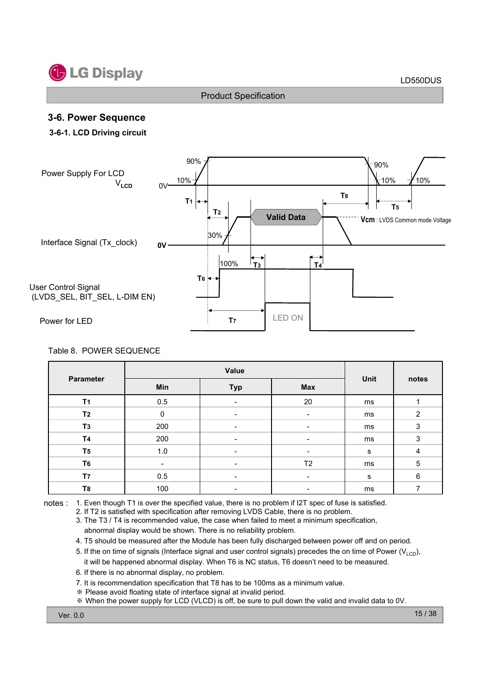

### **3-6. Power Sequence**

#### **3-6-1. LCD Driving circuit**



#### Table 8. POWER SEQUENCE

| <b>Parameter</b> | Min         | Unit                     | notes          |    |                |
|------------------|-------------|--------------------------|----------------|----|----------------|
| T <sub>1</sub>   | 0.5         | $\overline{\phantom{0}}$ | 20             | ms |                |
| T <sub>2</sub>   | $\mathbf 0$ | $\overline{\phantom{a}}$ | -              | ms | $\overline{2}$ |
| T <sub>3</sub>   | 200         | $\overline{\phantom{0}}$ |                | ms | $\mathbf{3}$   |
| <b>T4</b>        | 200         | $\overline{\phantom{a}}$ | -              | ms | $\mathbf{3}$   |
| T <sub>5</sub>   | 1.0         | $\overline{\phantom{0}}$ |                | s  | 4              |
| T <sub>6</sub>   |             | $\overline{\phantom{0}}$ | T <sub>2</sub> | ms | $\mathbf 5$    |
| T7               | 0.5         |                          |                | s  | 6              |
| T <sub>8</sub>   | 100         | $\overline{\phantom{a}}$ | -              | ms |                |

notes : 1. Even though T1 is over the specified value, there is no problem if I2T spec of fuse is satisfied.

- 2. If T2 is satisfied with specification after removing LVDS Cable, there is no problem.
- 3. The T3 / T4 is recommended value, the case when failed to meet a minimum specification, abnormal display would be shown. There is no reliability problem.
- 4. T5 should be measured after the Module has been fully discharged between power off and on period.
- 5. If the on time of signals (Interface signal and user control signals) precedes the on time of Power ( $V_{\text{LCD}}$ ), it will be happened abnormal display. When T6 is NC status, T6 doesn't need to be measured.
- 
- 6. If there is no abnormal display, no problem.
- 7. It is recommendation specification that T8 has to be 100ms as a minimum value.
- Please avoid floating state of interface signal at invalid period.
- When the power supply for LCD (VLCD) is off, be sure to pull down the valid and invalid data to 0V.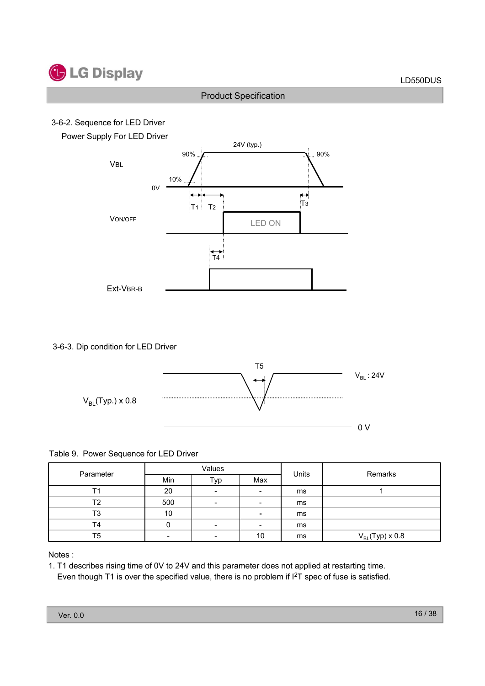### 3-6-2. Sequence for LED Driver

Power Supply For LED Driver



3-6-3. Dip condition for LED Driver



Table 9. Power Sequence for LED Driver

| Parameter |                          | Values                   |                          | Units | Remarks              |
|-----------|--------------------------|--------------------------|--------------------------|-------|----------------------|
|           | Min                      | Typ                      | Max                      |       |                      |
|           | 20                       | $\overline{\phantom{0}}$ | $\overline{\phantom{a}}$ | ms    |                      |
| Т2        | 500                      | $\overline{\phantom{a}}$ | -                        | ms    |                      |
| T3        | 10                       |                          | $\overline{\phantom{a}}$ | ms    |                      |
| T4        | 0                        | $\overline{\phantom{0}}$ | $\overline{\phantom{0}}$ | ms    |                      |
| T5        | $\overline{\phantom{0}}$ | -                        | 10                       | ms    | $V_{BL}$ (Typ) x 0.8 |

Notes :

1. T1 describes rising time of 0V to 24V and this parameter does not applied at restarting time. Even though T1 is over the specified value, there is no problem if  $I^2T$  spec of fuse is satisfied.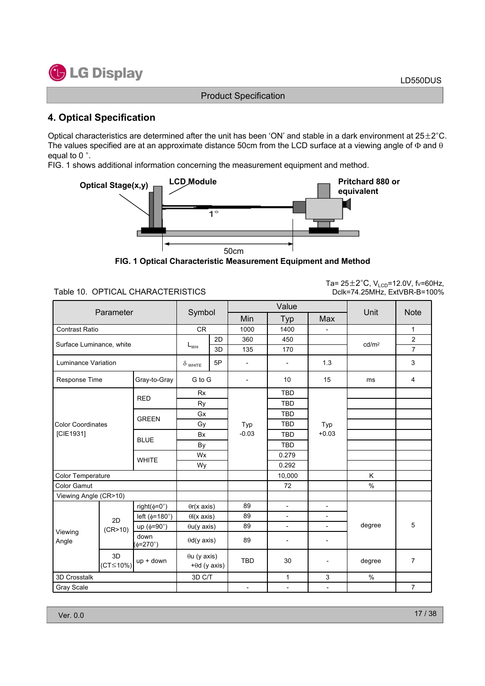

### **4. Optical Specification**

Optical characteristics are determined after the unit has been 'ON' and stable in a dark environment at  $25\pm2^{\circ}$ C. The values specified are at an approximate distance 50cm from the LCD surface at a viewing angle of  $\Phi$  and  $\theta$ equal to  $0^\circ$ .

FIG. 1 shows additional information concerning the measurement equipment and method.



**FIG. 1 Optical Characteristic Measurement Equipment and Method**

Table 10. OPTICAL CHARACTERISTICS

Ta=  $25\pm2^{\circ}$ C, V<sub>LCD</sub>=12.0V, fv=60Hz, Dclk=74.25MHz, ExtVBR-B=100%

|                          |                               |                                |                                       |    |                          | Value                    |                          |                   |                |  |  |
|--------------------------|-------------------------------|--------------------------------|---------------------------------------|----|--------------------------|--------------------------|--------------------------|-------------------|----------------|--|--|
|                          | Parameter                     |                                | Symbol                                |    | Min                      | Typ                      | Max                      | Unit              | <b>Note</b>    |  |  |
| <b>Contrast Ratio</b>    |                               |                                | <b>CR</b>                             |    | 1000                     | 1400                     |                          |                   | 1              |  |  |
|                          |                               |                                |                                       | 2D | 360                      | 450                      |                          | cd/m <sup>2</sup> | $\overline{2}$ |  |  |
|                          | Surface Luminance, white      |                                | $L_{WH}$                              | 3D | 135                      | 170                      |                          |                   | $\overline{7}$ |  |  |
|                          | Luminance Variation           |                                | 5P<br>$\delta$ white                  |    | $\overline{\phantom{a}}$ | $\overline{\phantom{a}}$ | 1.3                      |                   | 3              |  |  |
|                          | Response Time<br>Gray-to-Gray |                                | G to G                                |    | $\qquad \qquad -$        | 10                       | 15                       | ms                | $\overline{4}$ |  |  |
|                          |                               |                                | <b>Rx</b>                             |    |                          | <b>TBD</b>               |                          |                   |                |  |  |
|                          |                               | <b>RED</b>                     | Ry                                    |    |                          | <b>TBD</b>               |                          |                   |                |  |  |
|                          |                               |                                | Gx                                    |    |                          | <b>TBD</b>               |                          |                   |                |  |  |
| <b>Color Coordinates</b> |                               | <b>GREEN</b>                   | Gy                                    |    |                          |                          | Typ                      | <b>TBD</b>        | Typ            |  |  |
| [CIE1931]                |                               | <b>BLUE</b>                    | <b>Bx</b>                             |    | $-0.03$                  | <b>TBD</b>               | $+0.03$                  |                   |                |  |  |
|                          |                               |                                | By                                    |    |                          | <b>TBD</b>               |                          |                   |                |  |  |
|                          |                               | <b>WHITE</b>                   | Wx                                    |    |                          | 0.279                    |                          |                   |                |  |  |
|                          |                               |                                | Wy                                    |    |                          | 0.292                    |                          |                   |                |  |  |
| Color Temperature        |                               |                                |                                       |    |                          | 10,000                   |                          | K                 |                |  |  |
| <b>Color Gamut</b>       |                               |                                |                                       |    |                          | 72                       |                          | $\%$              |                |  |  |
| Viewing Angle (CR>10)    |                               |                                |                                       |    |                          |                          |                          |                   |                |  |  |
|                          |                               | right( $\phi = 0^{\circ}$ )    | $\theta$ r(x axis)                    |    | 89                       | $\overline{\phantom{a}}$ |                          |                   |                |  |  |
|                          | 2D                            | left ( $\phi$ =180°)           | $\theta$ (x axis)                     |    | 89                       | $\overline{\phantom{a}}$ | $\blacksquare$           |                   |                |  |  |
| Viewing                  | (CR>10)                       | up ( $\phi = 90^\circ$ )       | $\theta u(y \text{ axis})$            |    | 89                       | $\overline{\phantom{a}}$ |                          | degree            | 5              |  |  |
| Angle                    |                               | down<br>$(\phi = 270^{\circ})$ | $\theta d(y \text{ axis})$            |    | 89                       | $\overline{\phantom{a}}$ | $\overline{\phantom{a}}$ |                   |                |  |  |
|                          | 3D<br>$(CT \le 10\%)$         | $up + down$                    | $\theta$ u (y axis)<br>$+0d$ (y axis) |    | <b>TBD</b>               | 30                       |                          | degree            | $\overline{7}$ |  |  |
| 3D Crosstalk             |                               |                                | 3D C/T                                |    |                          | $\mathbf{1}$             | 3                        | $\%$              |                |  |  |
| Gray Scale               |                               |                                |                                       |    | $\overline{\phantom{a}}$ | $\blacksquare$           | $\overline{\phantom{a}}$ |                   | $\overline{7}$ |  |  |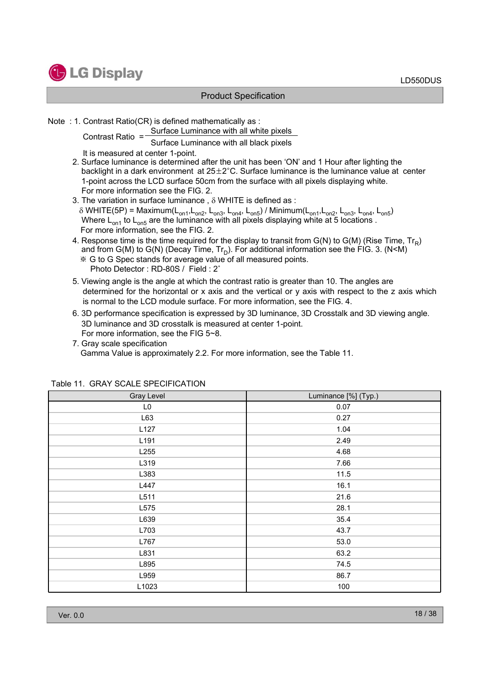

Note : 1. Contrast Ratio(CR) is defined mathematically as :

Contrast Ratio = Surface Luminance with all white pixels Contrast Ratio = Surface Luminance with all black pixels

It is measured at center 1-point.

- 2. Surface luminance is determined after the unit has been 'ON' and 1 Hour after lighting the backlight in a dark environment at  $25\pm2^{\circ}$ C. Surface luminance is the luminance value at center 1-point across the LCD surface 50cm from the surface with all pixels displaying white. For more information see the FIG. 2.
- 3. The variation in surface luminance,  $\delta$  WHITE is defined as :  $\delta$  WHITE(5P) = Maximum(L<sub>on1</sub>,L<sub>on2</sub>, L<sub>on3</sub>, L<sub>on4</sub>, L<sub>on5</sub>) / Minimum(L<sub>on1</sub>,L<sub>on2</sub>, L<sub>on3</sub>, L<sub>on4</sub>, L<sub>on5</sub>) Where  $\mathsf{L}_{\mathsf{on}1}$  to  $\mathsf{L}_{\mathsf{on}5}$  are the luminance with all pixels displaying white at 5 locations . For more information, see the FIG. 2.
- 4. Response time is the time required for the display to transit from  $G(N)$  to  $G(M)$  (Rise Time,  $Tr_{R}$ ) and from G(M) to G(N) (Decay Time,  $Tr_D$ ). For additional information see the FIG. 3. (N<M)
	- G to G Spec stands for average value of all measured points. Photo Detector: RD-80S / Field: 2°
- 5. Viewing angle is the angle at which the contrast ratio is greater than 10. The angles are determined for the horizontal or x axis and the vertical or y axis with respect to the z axis which is normal to the LCD module surface. For more information, see the FIG. 4.
- 6. 3D performance specification is expressed by 3D luminance, 3D Crosstalk and 3D viewing angle. 3D luminance and 3D crosstalk is measured at center 1-point. For more information, see the FIG 5~8.
- 7. Gray scale specification Gamma Value is approximately 2.2. For more information, see the Table 11.

| Gray Level     | Luminance [%] (Typ.) |
|----------------|----------------------|
| L <sub>0</sub> | 0.07                 |
| L63            | 0.27                 |
| L127           | 1.04                 |
| L191           | 2.49                 |
| L255           | 4.68                 |
| L319           | 7.66                 |
| L383           | 11.5                 |
| L447           | 16.1                 |
| L511           | 21.6                 |
| L575           | 28.1                 |
| L639           | 35.4                 |
| L703           | 43.7                 |
| L767           | 53.0                 |
| L831           | 63.2                 |
| L895           | 74.5                 |
| L959           | 86.7                 |
| L1023          | 100                  |

#### Table 11. GRAY SCALE SPECIFICATION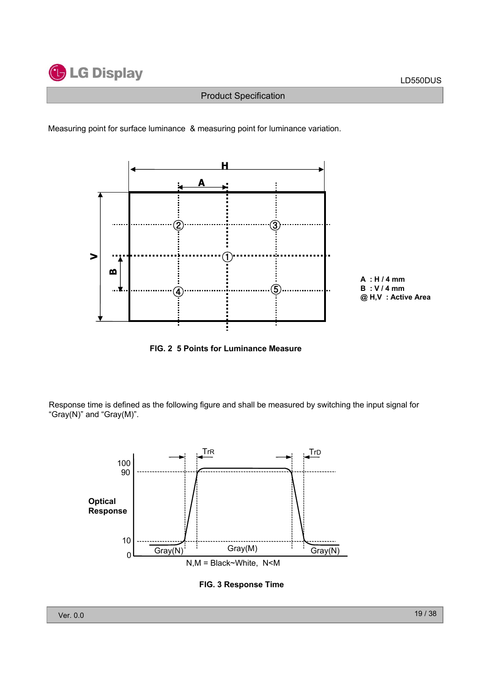





**FIG. 2 5 Points for Luminance Measure**

Response time is defined as the following figure and shall be measured by switching the input signal for "Gray(N)" and "Gray(M)".



**FIG. 3 Response Time**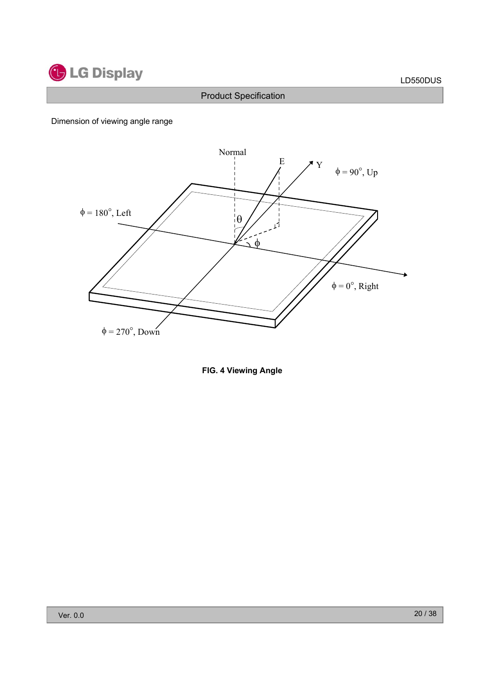

### Dimension of viewing angle range



**FIG. 4 Viewing Angle**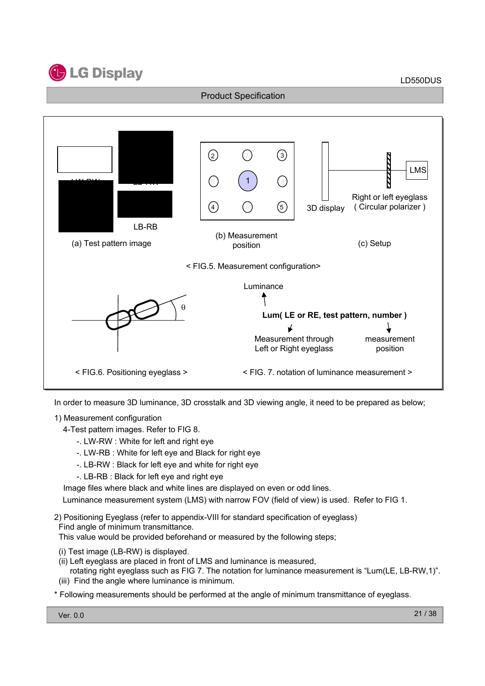



In order to measure 3D luminance, 3D crosstalk and 3D viewing angle, it need to be prepared as below;

### 1) Measurement configuration

4-Test pattern images. Refer to FIG 8.

- -. LW-RW : White for left and right eye
- -. LW-RB : White for left eye and Black for right eye
- -. LB-RW : Black for left eye and white for right eye
- -. LB-RB : Black for left eye and right eye

Image files where black and white lines are displayed on even or odd lines.

Luminance measurement system (LMS) with narrow FOV (field of view) is used. Refer to FIG 1.

2) Positioning Eyeglass (refer to appendix-VIII for standard specification of eyeglass) Find angle of minimum transmittance.

This value would be provided beforehand or measured by the following steps;

- (i) Test image (LB-RW) is displayed.
- (ii) Left eyeglass are placed in front of LMS and luminance is measured,

rotating right eyeglass such as FIG 7. The notation for luminance measurement is "Lum(LE, LB-RW,1)". (iii) Find the angle where luminance is minimum.

\* Following measurements should be performed at the angle of minimum transmittance of eyeglass.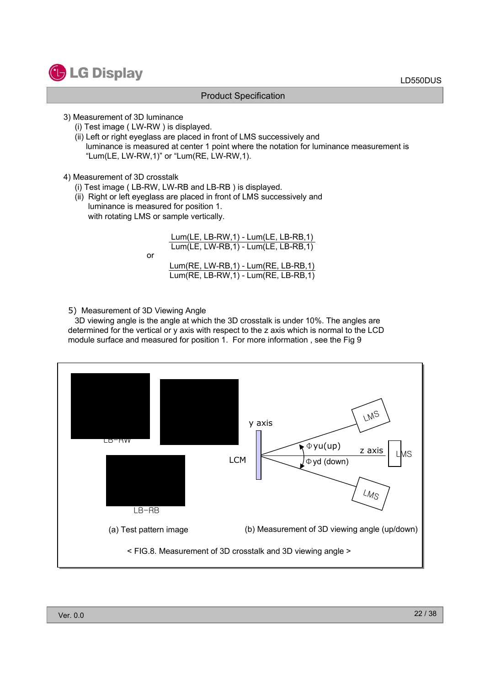

- 3) Measurement of 3D luminance
	- (i) Test image ( LW-RW ) is displayed.
	- (ii) Left or right eyeglass are placed in front of LMS successively and luminance is measured at center 1 point where the notation for luminance measurement is "Lum(LE, LW-RW,1)" or "Lum(RE, LW-RW,1).
- 4) Measurement of 3D crosstalk
	- (i) Test image ( LB-RW, LW-RB and LB-RB ) is displayed.
	- (ii) Right or left eyeglass are placed in front of LMS successively and luminance is measured for position 1. with rotating LMS or sample vertically.

or Lum(LE, LB-RW,1) - Lum(LE, LB-RB,1) Lum(LE, LW-RB,1) - Lum(LE, LB-RB,1) Lum(RE, LW-RB,1) - Lum(RE, LB-RB,1) Lum(RE, LB-RW,1) - Lum(RE, LB-RB,1)

5) Measurement of 3D Viewing Angle

3D viewing angle is the angle at which the 3D crosstalk is under 10%. The angles are determined for the vertical or y axis with respect to the z axis which is normal to the LCD module surface and measured for position 1. For more information , see the Fig 9

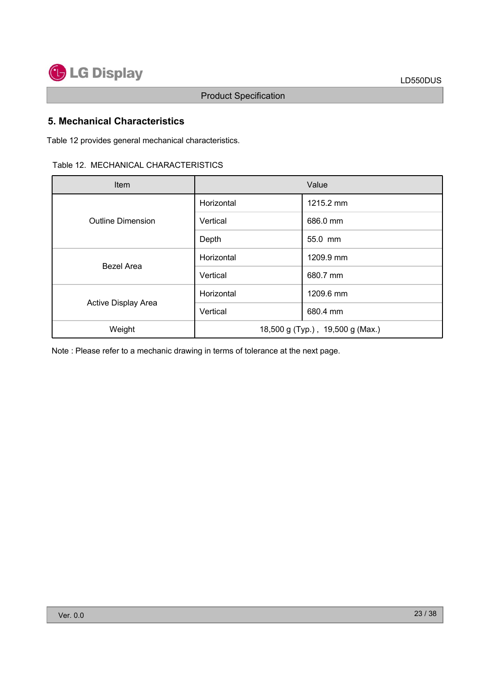

### **5. Mechanical Characteristics**

Table 12 provides general mechanical characteristics.

| Item                     |            | Value                            |  |  |
|--------------------------|------------|----------------------------------|--|--|
|                          | Horizontal | 1215.2 mm                        |  |  |
| <b>Outline Dimension</b> | Vertical   | 686.0 mm                         |  |  |
|                          | Depth      | 55.0 mm                          |  |  |
|                          | Horizontal | 1209.9 mm                        |  |  |
| Bezel Area               | Vertical   | 680.7 mm                         |  |  |
|                          | Horizontal | 1209.6 mm                        |  |  |
| Active Display Area      | Vertical   | 680.4 mm                         |  |  |
| Weight                   |            | 18,500 g (Typ.), 19,500 g (Max.) |  |  |

Note : Please refer to a mechanic drawing in terms of tolerance at the next page.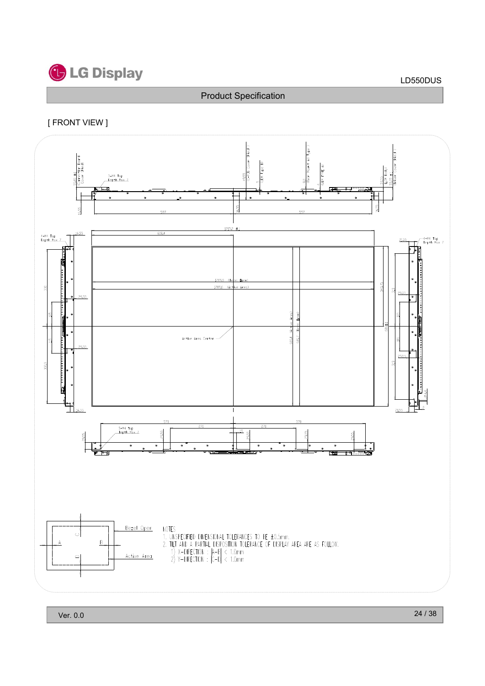

### [ FRONT VIEW ]

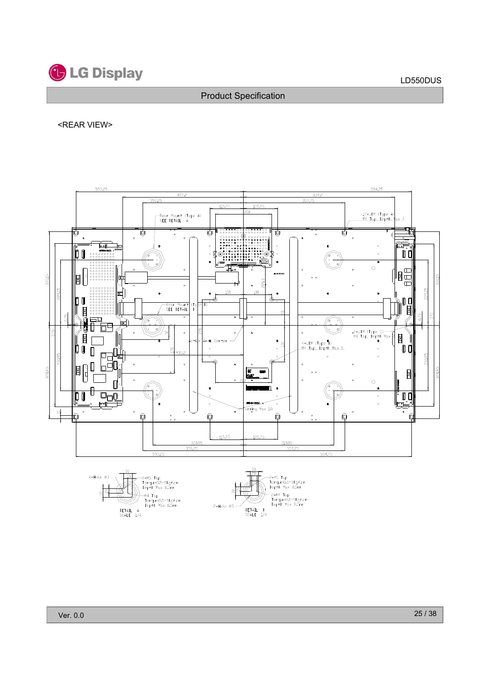

#### <REAR VIEW>

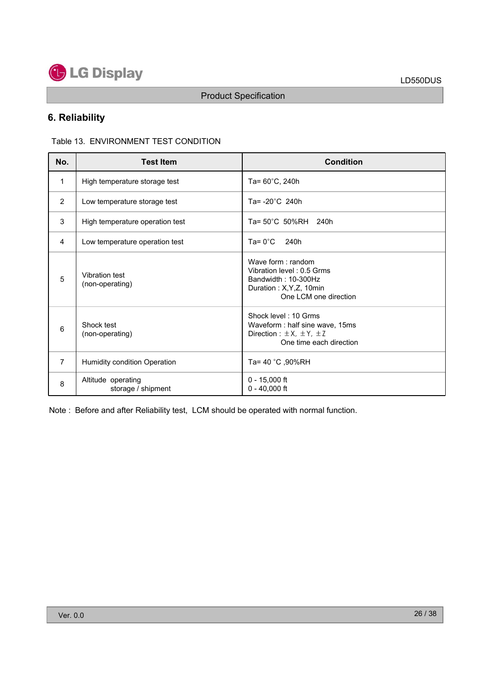

### **6. Reliability**

Table 13. ENVIRONMENT TEST CONDITION

| No.            | <b>Test Item</b>                         | <b>Condition</b>                                                                                                           |
|----------------|------------------------------------------|----------------------------------------------------------------------------------------------------------------------------|
| 1              | High temperature storage test            | Ta= $60^{\circ}$ C, 240h                                                                                                   |
| 2              | Low temperature storage test             | Ta= $-20^{\circ}$ C 240h                                                                                                   |
| 3              | High temperature operation test          | Ta= 50°C 50%RH 240h                                                                                                        |
| 4              | Low temperature operation test           | $Ta = 0^{\circ}C$<br>240h                                                                                                  |
| 5              | Vibration test<br>(non-operating)        | Wave form: random<br>Vibration level: 0.5 Grms<br>Bandwidth: 10-300Hz<br>Duration: X, Y, Z, 10min<br>One LCM one direction |
| 6              | Shock test<br>(non-operating)            | Shock level: 10 Grms<br>Waveform: half sine wave, 15ms<br>Direction : $\pm$ X, $\pm$ Y, $\pm$ Z<br>One time each direction |
| $\overline{7}$ | Humidity condition Operation             | Ta= 40 °C, 90%RH                                                                                                           |
| 8              | Altitude operating<br>storage / shipment | $0 - 15,000$ ft<br>$0 - 40,000$ ft                                                                                         |

Note : Before and after Reliability test, LCM should be operated with normal function.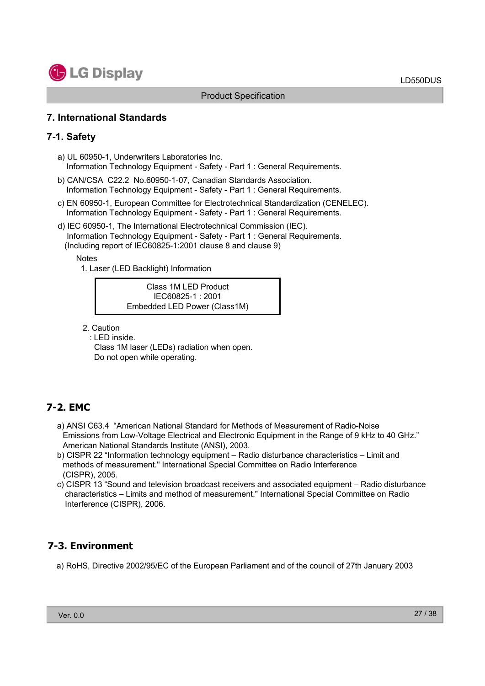

### **7. International Standards**

### **7-1. Safety**

- a) UL 60950-1, Underwriters Laboratories Inc. Information Technology Equipment - Safety - Part 1 : General Requirements.
- b) CAN/CSA C22.2 No.60950-1-07, Canadian Standards Association. Information Technology Equipment - Safety - Part 1 : General Requirements.
- c) EN 60950-1, European Committee for Electrotechnical Standardization (CENELEC). Information Technology Equipment - Safety - Part 1 : General Requirements.
- d) IEC 60950-1, The International Electrotechnical Commission (IEC). Information Technology Equipment - Safety - Part 1 : General Requirements. (Including report of IEC60825-1:2001 clause 8 and clause 9)

#### **Notes**

1. Laser (LED Backlight) Information

Class 1M LED Product IEC60825-1 : 2001 Embedded LED Power (Class1M)

- 2. Caution
	- : LED inside.

Class 1M laser (LEDs) radiation when open. Do not open while operating.

### **7-2. EMC**

- a) ANSI C63.4 "American National Standard for Methods of Measurement of Radio-Noise Emissions from Low-Voltage Electrical and Electronic Equipment in the Range of 9 kHz to 40 GHz." American National Standards Institute (ANSI), 2003.
- b) CISPR 22 "Information technology equipment Radio disturbance characteristics Limit and methods of measurement." International Special Committee on Radio Interference (CISPR), 2005.
- c) CISPR 13 "Sound and television broadcast receivers and associated equipment Radio disturbance characteristics – Limits and method of measurement." International Special Committee on Radio Interference (CISPR), 2006.

### **7-3. Environment**

a) RoHS, Directive 2002/95/EC of the European Parliament and of the council of 27th January 2003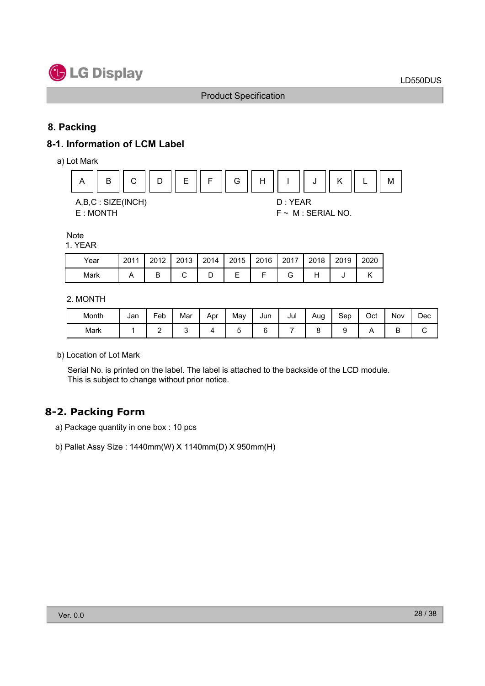

### **8. Packing**

### **8-1. Information of LCM Label**

a) Lot Mark



#### **Note**

#### 1. YEAR

| Year | 2011 | 2012 | 2013 |   | 2014   2015   2016   2017 | $\vert$ 2018 | 2019 | 2020 |
|------|------|------|------|---|---------------------------|--------------|------|------|
| Mark |      |      |      | ー |                           |              |      |      |

#### 2. MONTH

| Month | Jan | Feb | Mar | Apr | May | Jun | Jul | Aug | Sep | Oct | Nov | Dec |
|-------|-----|-----|-----|-----|-----|-----|-----|-----|-----|-----|-----|-----|
| Mark  |     |     |     |     |     |     |     |     |     |     | –   |     |

b) Location of Lot Mark

Serial No. is printed on the label. The label is attached to the backside of the LCD module. This is subject to change without prior notice.

### **8-2. Packing Form**

- a) Package quantity in one box : 10 pcs
- b) Pallet Assy Size : 1440mm(W) X 1140mm(D) X 950mm(H)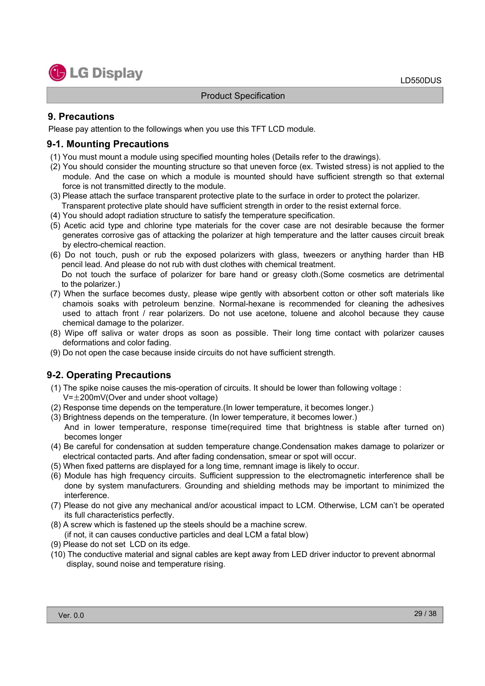

#### **9. Precautions**

Please pay attention to the followings when you use this TFT LCD module.

#### **9-1. Mounting Precautions**

- (1) You must mount a module using specified mounting holes (Details refer to the drawings).
- (2) You should consider the mounting structure so that uneven force (ex. Twisted stress) is not applied to the module. And the case on which a module is mounted should have sufficient strength so that external force is not transmitted directly to the module.
- (3) Please attach the surface transparent protective plate to the surface in order to protect the polarizer. Transparent protective plate should have sufficient strength in order to the resist external force.
- (4) You should adopt radiation structure to satisfy the temperature specification.
- (5) Acetic acid type and chlorine type materials for the cover case are not desirable because the former generates corrosive gas of attacking the polarizer at high temperature and the latter causes circuit break by electro-chemical reaction.
- (6) Do not touch, push or rub the exposed polarizers with glass, tweezers or anything harder than HB pencil lead. And please do not rub with dust clothes with chemical treatment. Do not touch the surface of polarizer for bare hand or greasy cloth.(Some cosmetics are detrimental to the polarizer.)
- (7) When the surface becomes dusty, please wipe gently with absorbent cotton or other soft materials like chamois soaks with petroleum benzine. Normal-hexane is recommended for cleaning the adhesives used to attach front / rear polarizers. Do not use acetone, toluene and alcohol because they cause chemical damage to the polarizer.
- (8) Wipe off saliva or water drops as soon as possible. Their long time contact with polarizer causes deformations and color fading.
- (9) Do not open the case because inside circuits do not have sufficient strength.

### **9-2. Operating Precautions**

- (1) The spike noise causes the mis-operation of circuits. It should be lower than following voltage :  $V=\pm 200$ mV(Over and under shoot voltage)
- (2) Response time depends on the temperature.(In lower temperature, it becomes longer.)
- (3) Brightness depends on the temperature. (In lower temperature, it becomes lower.) And in lower temperature, response time(required time that brightness is stable after turned on) becomes longer
- (4) Be careful for condensation at sudden temperature change.Condensation makes damage to polarizer or electrical contacted parts. And after fading condensation, smear or spot will occur.
- (5) When fixed patterns are displayed for a long time, remnant image is likely to occur.
- (6) Module has high frequency circuits. Sufficient suppression to the electromagnetic interference shall be done by system manufacturers. Grounding and shielding methods may be important to minimized the interference.
- (7) Please do not give any mechanical and/or acoustical impact to LCM. Otherwise, LCM can't be operated its full characteristics perfectly.
- (8) A screw which is fastened up the steels should be a machine screw. (if not, it can causes conductive particles and deal LCM a fatal blow)
- (9) Please do not set LCD on its edge.
- (10) The conductive material and signal cables are kept away from LED driver inductor to prevent abnormal display, sound noise and temperature rising.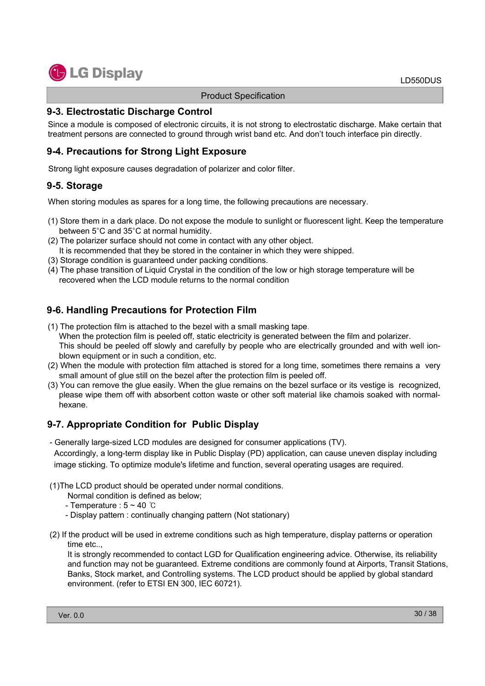### **9-3. Electrostatic Discharge Control**

Since a module is composed of electronic circuits, it is not strong to electrostatic discharge. Make certain that treatment persons are connected to ground through wrist band etc. And don't touch interface pin directly.

### **9-4. Precautions for Strong Light Exposure**

Strong light exposure causes degradation of polarizer and color filter.

### **9-5. Storage**

When storing modules as spares for a long time, the following precautions are necessary.

- (1) Store them in a dark place. Do not expose the module to sunlight or fluorescent light. Keep the temperature between 5°C and 35°C at normal humidity.
- (2) The polarizer surface should not come in contact with any other object.
- It is recommended that they be stored in the container in which they were shipped.
- (3) Storage condition is guaranteed under packing conditions.
- (4) The phase transition of Liquid Crystal in the condition of the low or high storage temperature will be recovered when the LCD module returns to the normal condition

### **9-6. Handling Precautions for Protection Film**

- (1) The protection film is attached to the bezel with a small masking tape. When the protection film is peeled off, static electricity is generated between the film and polarizer. This should be peeled off slowly and carefully by people who are electrically grounded and with well ionblown equipment or in such a condition, etc.
- (2) When the module with protection film attached is stored for a long time, sometimes there remains a very small amount of glue still on the bezel after the protection film is peeled off.
- (3) You can remove the glue easily. When the glue remains on the bezel surface or its vestige is recognized, please wipe them off with absorbent cotton waste or other soft material like chamois soaked with normalhexane.

### **9-7. Appropriate Condition for Public Display**

- Generally large-sized LCD modules are designed for consumer applications (TV).

Accordingly, a long-term display like in Public Display (PD) application, can cause uneven display including image sticking. To optimize module's lifetime and function, several operating usages are required.

#### (1)The LCD product should be operated under normal conditions.

Normal condition is defined as below;

- Temperature :  $5 \sim 40$   $\degree$ C
- Display pattern : continually changing pattern (Not stationary)
- (2) If the product will be used in extreme conditions such as high temperature, display patterns or operation time etc..,

It is strongly recommended to contact LGD for Qualification engineering advice. Otherwise, its reliability and function may not be guaranteed. Extreme conditions are commonly found at Airports, Transit Stations, Banks, Stock market, and Controlling systems. The LCD product should be applied by global standard environment. (refer to ETSI EN 300, IEC 60721).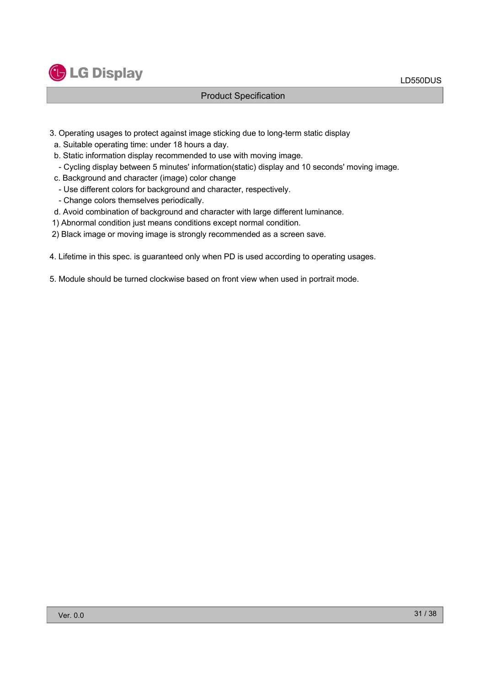

- 3. Operating usages to protect against image sticking due to long-term static display
- a. Suitable operating time: under 18 hours a day.
- b. Static information display recommended to use with moving image.
	- Cycling display between 5 minutes' information(static) display and 10 seconds' moving image.
- c. Background and character (image) color change
	- Use different colors for background and character, respectively.
	- Change colors themselves periodically.
- d. Avoid combination of background and character with large different luminance.
- 1) Abnormal condition just means conditions except normal condition.
- 2) Black image or moving image is strongly recommended as a screen save.
- 4. Lifetime in this spec. is guaranteed only when PD is used according to operating usages.
- 5. Module should be turned clockwise based on front view when used in portrait mode.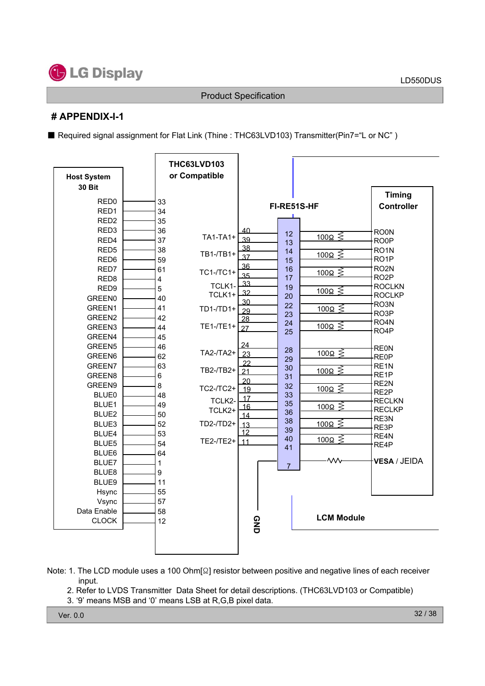

### **# APPENDIX-I-1**

■ Required signal assignment for Flat Link (Thine : THC63LVD103) Transmitter(Pin7="L or NC")

| <b>Host System</b> |                         | <b>THC63LVD103</b><br>or Compatible |                 |                |                       |                   |
|--------------------|-------------------------|-------------------------------------|-----------------|----------------|-----------------------|-------------------|
| <b>30 Bit</b>      |                         |                                     |                 |                |                       |                   |
| RED <sub>0</sub>   | 33                      |                                     |                 |                |                       | <b>Timing</b>     |
| RED <sub>1</sub>   | 34                      |                                     |                 | FI-RE51S-HF    |                       | <b>Controller</b> |
| RED <sub>2</sub>   | 35                      |                                     |                 |                |                       |                   |
| RED <sub>3</sub>   | 36                      |                                     | 40              | 12             |                       | <b>ROON</b>       |
| RED4               | 37                      | TA1-TA1+                            | 39              | 13             | $\frac{100\Omega}{5}$ | <b>RO0P</b>       |
| RED <sub>5</sub>   | 38                      | TB1-/TB1+                           | 38              | 14             | $\frac{100\Omega}{5}$ | RO <sub>1</sub> N |
| RED <sub>6</sub>   | 59                      |                                     | 37              | 15             |                       | RO <sub>1</sub> P |
| RED7               | 61                      | TC1-/TC1+                           | 36              | 16             | $\frac{100\Omega}{5}$ | RO <sub>2N</sub>  |
| RED <sub>8</sub>   | $\overline{\mathbf{4}}$ |                                     | 35<br>33        | 17             |                       | RO <sub>2</sub> P |
| RED9               | 5                       | TCLK1-                              | 32              | 19             | $\frac{100\Omega}{5}$ | <b>ROCLKN</b>     |
| <b>GREEN0</b>      | 40                      | TCLK1+                              | 30              | 20             |                       | <b>ROCLKP</b>     |
| GREEN1             | 41                      | $TD1 - TDI +$                       | 29              | 22             | $\frac{100\Omega}{5}$ | RO3N<br>RO3P      |
| GREEN <sub>2</sub> | 42                      |                                     | 28              | 23<br>24       |                       | RO <sub>4</sub> N |
| GREEN3             | 44                      | $TE1 - TE1 +$                       | 27              | 25             | <u>100Ω ≶</u>         | RO <sub>4</sub> P |
| GREEN4             | 45                      |                                     |                 |                |                       |                   |
| GREEN5             | 46                      |                                     | 24              | 28             |                       | <b>REON</b>       |
| GREEN <sub>6</sub> | 62                      | TA2-/TA2+                           | 23              | 29             | $100\Omega \leq$      | <b>RE0P</b>       |
| GREEN7             | 63                      | TB2-/TB2+                           | 22<br>21        | 30             | $\frac{100\Omega}{5}$ | RE <sub>1</sub> N |
| GREEN8             | $\,6\,$                 |                                     | 20              | 31             |                       | RE <sub>1</sub> P |
| GREEN9             | 8                       | TC2-/TC2+                           | 19              | 32             | <u>100Ω</u> <         | RE2N<br>RE2P      |
| <b>BLUE0</b>       | 48                      | TCLK2-                              | 17              | 33             |                       | <b>RECLKN</b>     |
| BLUE1              | 49                      | TCLK2+                              | 16              | 35             | <u>100Ω ≶ັ</u>        | <b>RECLKP</b>     |
| BLUE2              | 50                      |                                     | 14              | 36<br>38       |                       | RE3N              |
| BLUE3              | 52                      | TD2-/TD2+                           | $\overline{13}$ | 39             | $\frac{100\Omega}{5}$ | RE3P              |
| BLUE4              | 53                      | TE2-/TE2+                           | 12              | 40             | 100Ω ≤                | RE4N              |
| BLUE5              | 54                      |                                     | 11              | 41             |                       | RE4P              |
| BLUE6              | 64                      |                                     |                 |                | $\mathsf{w}$          |                   |
| BLUE7              | $\mathbf{1}$            |                                     |                 | $\overline{7}$ |                       | VESA / JEIDA      |
| BLUE8              | 9                       |                                     |                 |                |                       |                   |
| BLUE9              | 11                      |                                     |                 |                |                       |                   |
| Hsync              | 55                      |                                     |                 |                |                       |                   |
| Vsync              | 57                      |                                     |                 |                |                       |                   |
| Data Enable        | 58                      |                                     |                 |                | <b>LCM Module</b>     |                   |
| <b>CLOCK</b>       | 12                      |                                     | 9ND             |                |                       |                   |
|                    |                         |                                     |                 |                |                       |                   |
|                    |                         |                                     |                 |                |                       |                   |

- Note: 1. The LCD module uses a 100 Ohm $\lceil \Omega \rceil$  resistor between positive and negative lines of each receiver input.
	- 2. Refer to LVDS Transmitter Data Sheet for detail descriptions. (THC63LVD103 or Compatible)
	- 3. '9' means MSB and '0' means LSB at R,G,B pixel data.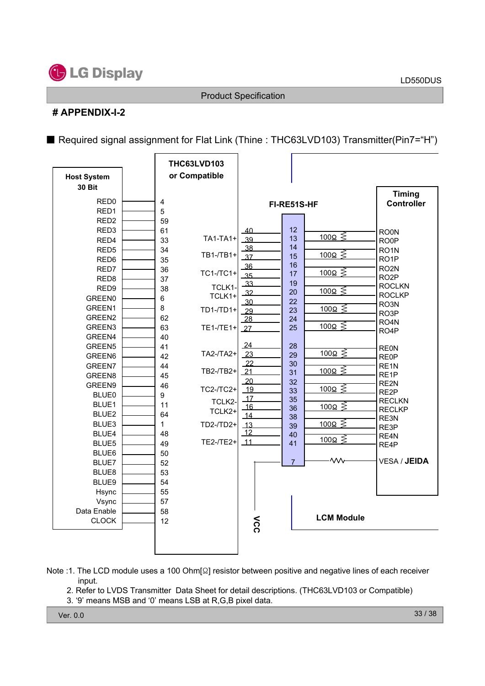

### **# APPENDIX-I-2**

■ Required signal assignment for Flat Link (Thine : THC63LVD103) Transmitter(Pin7="H")

| <b>Host System</b> |                         | <b>THC63LVD103</b><br>or Compatible |                       |                |                       |                                |
|--------------------|-------------------------|-------------------------------------|-----------------------|----------------|-----------------------|--------------------------------|
| <b>30 Bit</b>      |                         |                                     |                       |                |                       | <b>Timing</b>                  |
| RED <sub>0</sub>   | $\overline{\mathbf{4}}$ |                                     |                       | FI-RE51S-HF    |                       | <b>Controller</b>              |
| RED1               | 5                       |                                     |                       |                |                       |                                |
| RED <sub>2</sub>   | 59                      |                                     |                       |                |                       |                                |
| RED <sub>3</sub>   | 61                      |                                     | 40                    | 12             |                       | <b>RO0N</b>                    |
| RED4               | 33                      | <b>TA1-TA1+</b>                     | 39                    | 13             | $\frac{100\Omega}{5}$ | RO <sub>OP</sub>               |
| RED <sub>5</sub>   | 34                      |                                     | $-38$                 | 14             | $\frac{100\Omega}{5}$ | RO <sub>1</sub> N              |
| RED <sub>6</sub>   | 35                      | TB1-/TB1+                           | 37                    | 15             |                       | RO <sub>1</sub> P              |
| RED7               | 36                      | TC1-/TC1+                           | 36                    | 16<br>17       | $\frac{100\Omega}{5}$ | RO <sub>2N</sub>               |
| RED <sub>8</sub>   | 37                      |                                     | 35<br>33              | 19             |                       | RO <sub>2</sub> P              |
| RED <sub>9</sub>   | 38                      | TCLK1-                              | $\overline{32}$       | 20             | $\frac{100\Omega}{5}$ | <b>ROCLKN</b>                  |
| <b>GREEN0</b>      | $6\phantom{1}$          | TCLK1+                              | 30                    | 22             |                       | <b>ROCLKP</b>                  |
| GREEN1             | 8                       | $TD1 - TDI +$                       | $-29$                 | 23             | $\frac{100\Omega}{5}$ | RO3N                           |
| GREEN2             | 62                      |                                     | 28                    | 24             |                       | RO3P<br>RO <sub>4</sub> N      |
| GREEN3             | 63                      | TE1-/TE1+                           | 27                    | 25             | $\frac{100\Omega}{5}$ | RO <sub>4</sub> P              |
| GREEN4             | 40                      |                                     |                       |                |                       |                                |
| GREEN5             | 41                      |                                     | 24                    | 28             |                       | <b>REON</b>                    |
| GREEN6             | 42                      | TA2-/TA2+                           | 23                    | 29             | 100 $\Omega \lessgtr$ | <b>RE0P</b>                    |
| GREEN7             | 44                      |                                     | 22                    | 30             | $\frac{100\Omega}{5}$ | RE <sub>1</sub> N              |
| GREEN8             | 45                      | TB2-/TB2+                           | 21                    | 31             |                       | RE <sub>1</sub> P              |
| GREEN9             | 46                      | TC2-/TC2+                           | $\overline{20}$<br>19 | 32             | <u>100Ω ≶</u>         | RE2N                           |
| <b>BLUE0</b>       | 9                       |                                     | 17                    | 33<br>35       |                       | RE <sub>2</sub> P              |
| BLUE1              | 11                      | TCLK2-                              | 16                    | 36             | $\frac{100\Omega}{5}$ | <b>RECLKN</b><br><b>RECLKP</b> |
| BLUE2              | 64                      | TCLK2+                              | 14                    | 38             |                       | RE3N                           |
| BLUE3              | $\mathbf{1}$            | TD2-/TD2+                           | $\overline{13}$       | 39             | $\frac{100\Omega}{5}$ | RE3P                           |
| BLUE4              | 48                      |                                     | 12                    | 40             |                       | RE4N                           |
| BLUE5              | 49                      | TE2-/TE2+                           | $\overline{11}$       | 41             | $\frac{100}{\Omega}$  | RE4P                           |
| BLUE6              | 50                      |                                     |                       |                |                       |                                |
| BLUE7              | 52                      |                                     |                       | $\overline{7}$ | ₩                     | <b>VESA / JEIDA</b>            |
| BLUE8              | 53                      |                                     |                       |                |                       |                                |
| BLUE9              | 54                      |                                     |                       |                |                       |                                |
| Hsync              | 55                      |                                     |                       |                |                       |                                |
| Vsync              | 57                      |                                     |                       |                |                       |                                |
| Data Enable        | 58                      |                                     |                       |                |                       |                                |
| <b>CLOCK</b>       | 12                      |                                     | λς                    |                | <b>LCM Module</b>     |                                |
|                    |                         |                                     |                       |                |                       |                                |
|                    |                         |                                     |                       |                |                       |                                |
|                    |                         |                                     |                       |                |                       |                                |

- Note :1. The LCD module uses a 100 Ohm[ $\Omega$ ] resistor between positive and negative lines of each receiver input.
	- 2. Refer to LVDS Transmitter Data Sheet for detail descriptions. (THC63LVD103 or Compatible)
	- 3. '9' means MSB and '0' means LSB at R,G,B pixel data.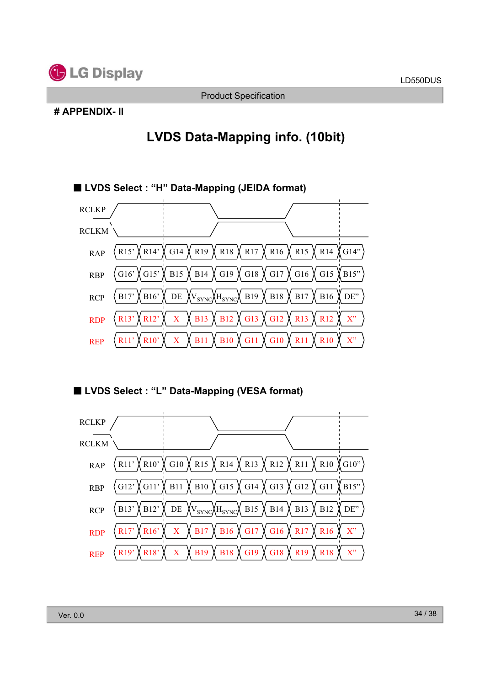

### **# APPENDIX- II**

# **LVDS Data-Mapping info. (10bit)**



̰ **LVDS Select : "L" Data-Mapping (VESA format)**

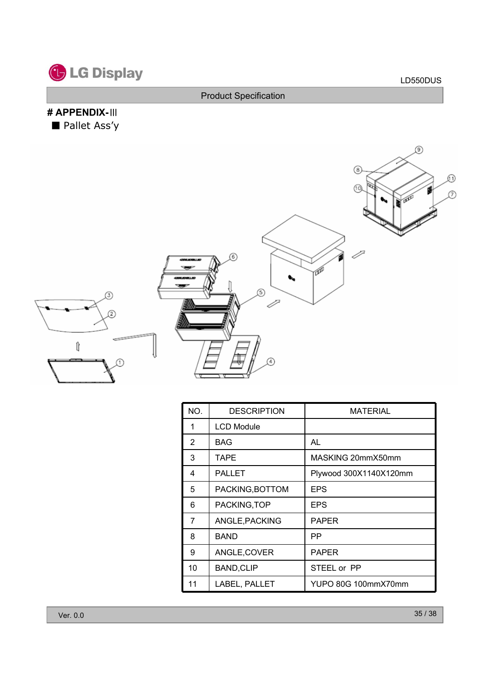

# **# APPENDIX-**๊ ■ Pallet Ass'y



| NO.            | <b>DESCRIPTION</b> | <b>MATERIAL</b>        |
|----------------|--------------------|------------------------|
| 1              | <b>LCD Module</b>  |                        |
| $\overline{2}$ | <b>BAG</b>         | AL                     |
| 3              | <b>TAPE</b>        | MASKING 20mmX50mm      |
| 4              | <b>PALLET</b>      | Plywood 300X1140X120mm |
| 5              | PACKING, BOTTOM    | <b>EPS</b>             |
| 6              | PACKING, TOP       | EPS                    |
| 7              | ANGLE, PACKING     | <b>PAPER</b>           |
| 8              | <b>BAND</b>        | РP                     |
| 9              | ANGLE, COVER       | <b>PAPER</b>           |
| 10             | <b>BAND, CLIP</b>  | STEEL or PP            |
| 11             | LABEL, PALLET      | YUPO 80G 100mmX70mm    |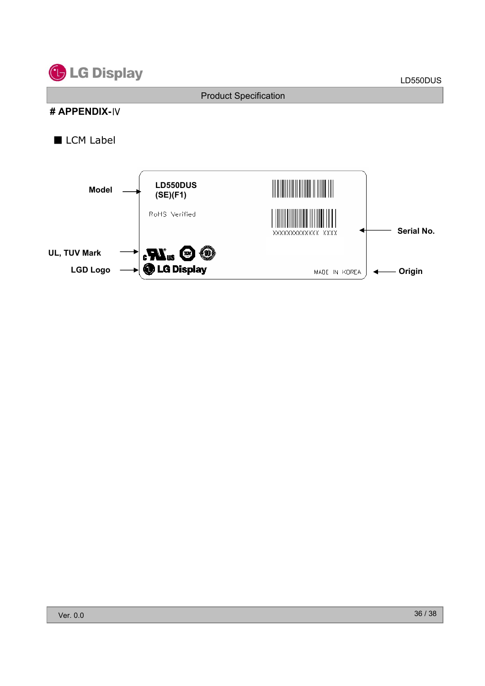

### **# APPENDIX-**๋

### $\blacksquare$  LCM Label

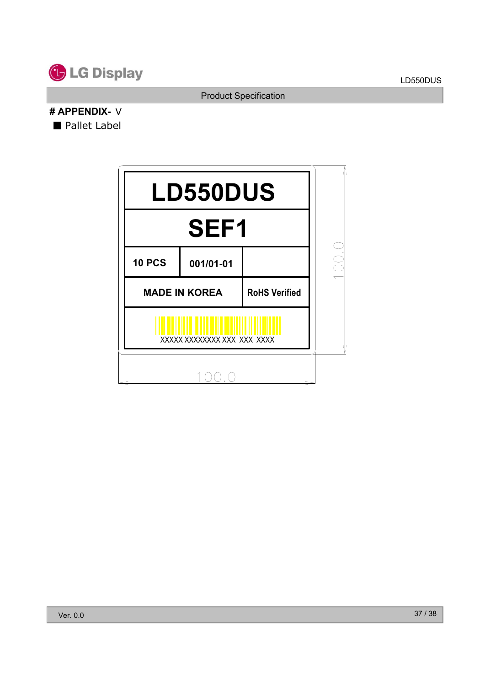

### **# APPENDIX-** ์ ■ Pallet Label

| <b>LD550DUS</b> |                                              |  |               |  |  |  |  |
|-----------------|----------------------------------------------|--|---------------|--|--|--|--|
|                 |                                              |  |               |  |  |  |  |
| <b>10 PCS</b>   | 001/01-01                                    |  | $\frac{1}{2}$ |  |  |  |  |
|                 | <b>MADE IN KOREA</b><br><b>RoHS Verified</b> |  |               |  |  |  |  |
|                 | XXXXX XXXXXXXX XXX XXX XXXX                  |  |               |  |  |  |  |
|                 |                                              |  |               |  |  |  |  |